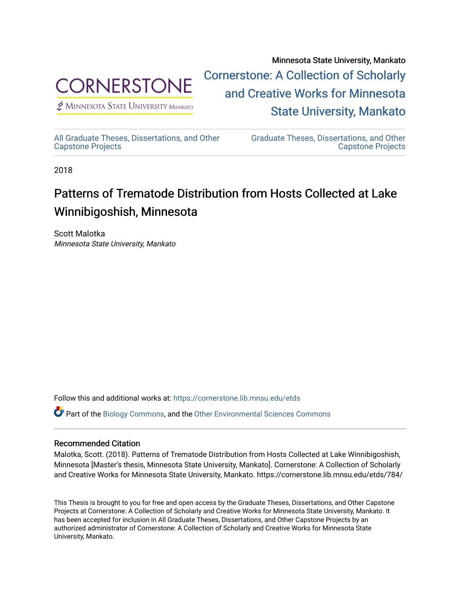

 $<sup>2</sup>$  Minnesota State University Mankato</sup>

Minnesota State University, Mankato [Cornerstone: A Collection of Scholarly](https://cornerstone.lib.mnsu.edu/)  [and Creative Works for Minnesota](https://cornerstone.lib.mnsu.edu/)  [State University, Mankato](https://cornerstone.lib.mnsu.edu/) 

[All Graduate Theses, Dissertations, and Other](https://cornerstone.lib.mnsu.edu/etds)  [Capstone Projects](https://cornerstone.lib.mnsu.edu/etds) 

[Graduate Theses, Dissertations, and Other](https://cornerstone.lib.mnsu.edu/theses_dissertations-capstone)  [Capstone Projects](https://cornerstone.lib.mnsu.edu/theses_dissertations-capstone) 

2018

# Patterns of Trematode Distribution from Hosts Collected at Lake Winnibigoshish, Minnesota

Scott Malotka Minnesota State University, Mankato

Follow this and additional works at: [https://cornerstone.lib.mnsu.edu/etds](https://cornerstone.lib.mnsu.edu/etds?utm_source=cornerstone.lib.mnsu.edu%2Fetds%2F784&utm_medium=PDF&utm_campaign=PDFCoverPages) 

Part of the [Biology Commons,](http://network.bepress.com/hgg/discipline/41?utm_source=cornerstone.lib.mnsu.edu%2Fetds%2F784&utm_medium=PDF&utm_campaign=PDFCoverPages) and the [Other Environmental Sciences Commons](http://network.bepress.com/hgg/discipline/173?utm_source=cornerstone.lib.mnsu.edu%2Fetds%2F784&utm_medium=PDF&utm_campaign=PDFCoverPages)

#### Recommended Citation

Malotka, Scott. (2018). Patterns of Trematode Distribution from Hosts Collected at Lake Winnibigoshish, Minnesota [Master's thesis, Minnesota State University, Mankato]. Cornerstone: A Collection of Scholarly and Creative Works for Minnesota State University, Mankato. https://cornerstone.lib.mnsu.edu/etds/784/

This Thesis is brought to you for free and open access by the Graduate Theses, Dissertations, and Other Capstone Projects at Cornerstone: A Collection of Scholarly and Creative Works for Minnesota State University, Mankato. It has been accepted for inclusion in All Graduate Theses, Dissertations, and Other Capstone Projects by an authorized administrator of Cornerstone: A Collection of Scholarly and Creative Works for Minnesota State University, Mankato.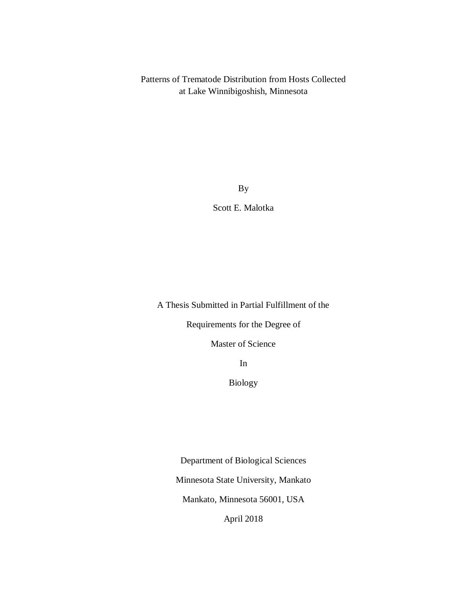Patterns of Trematode Distribution from Hosts Collected at Lake Winnibigoshish, Minnesota

By

Scott E. Malotka

A Thesis Submitted in Partial Fulfillment of the

Requirements for the Degree of

Master of Science

In

Biology

Department of Biological Sciences

Minnesota State University, Mankato

Mankato, Minnesota 56001, USA

April 2018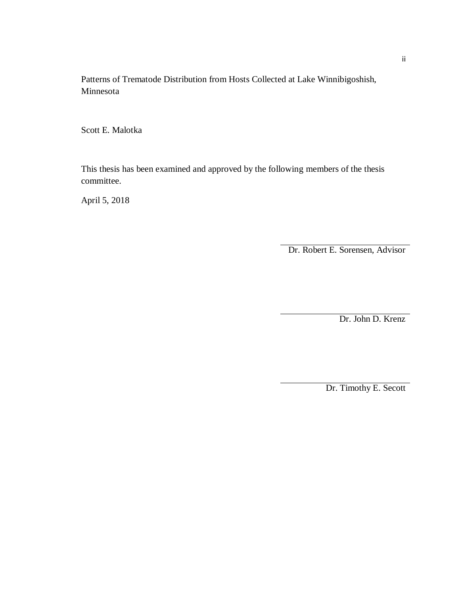Patterns of Trematode Distribution from Hosts Collected at Lake Winnibigoshish, Minnesota

Scott E. Malotka

This thesis has been examined and approved by the following members of the thesis committee.

April 5, 2018

Dr. Robert E. Sorensen, Advisor

Dr. John D. Krenz

Dr. Timothy E. Secott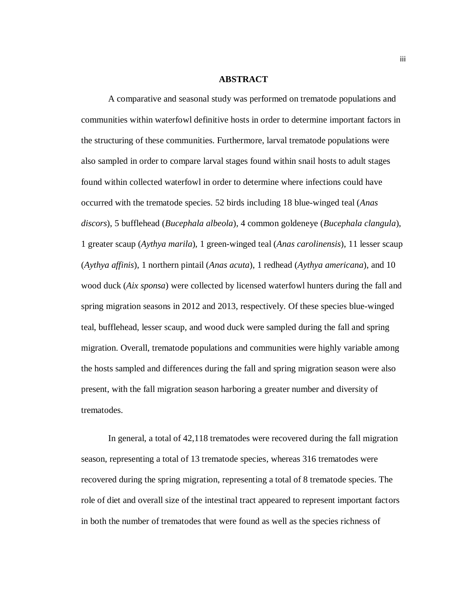#### **ABSTRACT**

A comparative and seasonal study was performed on trematode populations and communities within waterfowl definitive hosts in order to determine important factors in the structuring of these communities. Furthermore, larval trematode populations were also sampled in order to compare larval stages found within snail hosts to adult stages found within collected waterfowl in order to determine where infections could have occurred with the trematode species. 52 birds including 18 blue-winged teal (*Anas discors*), 5 bufflehead (*Bucephala albeola*), 4 common goldeneye (*Bucephala clangula*), 1 greater scaup (*Aythya marila*), 1 green-winged teal (*Anas carolinensis*), 11 lesser scaup (*Aythya affinis*), 1 northern pintail (*Anas acuta*), 1 redhead (*Aythya americana*), and 10 wood duck (*Aix sponsa*) were collected by licensed waterfowl hunters during the fall and spring migration seasons in 2012 and 2013, respectively. Of these species blue-winged teal, bufflehead, lesser scaup, and wood duck were sampled during the fall and spring migration. Overall, trematode populations and communities were highly variable among the hosts sampled and differences during the fall and spring migration season were also present, with the fall migration season harboring a greater number and diversity of trematodes.

In general, a total of 42,118 trematodes were recovered during the fall migration season, representing a total of 13 trematode species, whereas 316 trematodes were recovered during the spring migration, representing a total of 8 trematode species. The role of diet and overall size of the intestinal tract appeared to represent important factors in both the number of trematodes that were found as well as the species richness of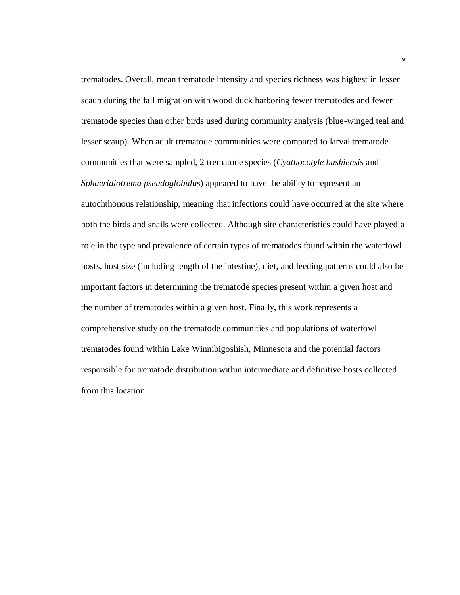trematodes. Overall, mean trematode intensity and species richness was highest in lesser scaup during the fall migration with wood duck harboring fewer trematodes and fewer trematode species than other birds used during community analysis (blue-winged teal and lesser scaup). When adult trematode communities were compared to larval trematode communities that were sampled, 2 trematode species (*Cyathocotyle bushiensis* and *Sphaeridiotrema pseudoglobulus*) appeared to have the ability to represent an autochthonous relationship, meaning that infections could have occurred at the site where both the birds and snails were collected. Although site characteristics could have played a role in the type and prevalence of certain types of trematodes found within the waterfowl hosts, host size (including length of the intestine), diet, and feeding patterns could also be important factors in determining the trematode species present within a given host and the number of trematodes within a given host. Finally, this work represents a comprehensive study on the trematode communities and populations of waterfowl trematodes found within Lake Winnibigoshish, Minnesota and the potential factors responsible for trematode distribution within intermediate and definitive hosts collected from this location.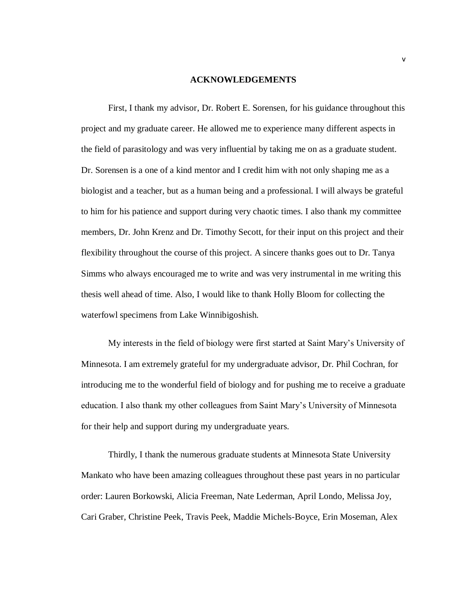#### **ACKNOWLEDGEMENTS**

First, I thank my advisor, Dr. Robert E. Sorensen, for his guidance throughout this project and my graduate career. He allowed me to experience many different aspects in the field of parasitology and was very influential by taking me on as a graduate student. Dr. Sorensen is a one of a kind mentor and I credit him with not only shaping me as a biologist and a teacher, but as a human being and a professional. I will always be grateful to him for his patience and support during very chaotic times. I also thank my committee members, Dr. John Krenz and Dr. Timothy Secott, for their input on this project and their flexibility throughout the course of this project. A sincere thanks goes out to Dr. Tanya Simms who always encouraged me to write and was very instrumental in me writing this thesis well ahead of time. Also, I would like to thank Holly Bloom for collecting the waterfowl specimens from Lake Winnibigoshish.

My interests in the field of biology were first started at Saint Mary's University of Minnesota. I am extremely grateful for my undergraduate advisor, Dr. Phil Cochran, for introducing me to the wonderful field of biology and for pushing me to receive a graduate education. I also thank my other colleagues from Saint Mary's University of Minnesota for their help and support during my undergraduate years.

Thirdly, I thank the numerous graduate students at Minnesota State University Mankato who have been amazing colleagues throughout these past years in no particular order: Lauren Borkowski, Alicia Freeman, Nate Lederman, April Londo, Melissa Joy, Cari Graber, Christine Peek, Travis Peek, Maddie Michels-Boyce, Erin Moseman, Alex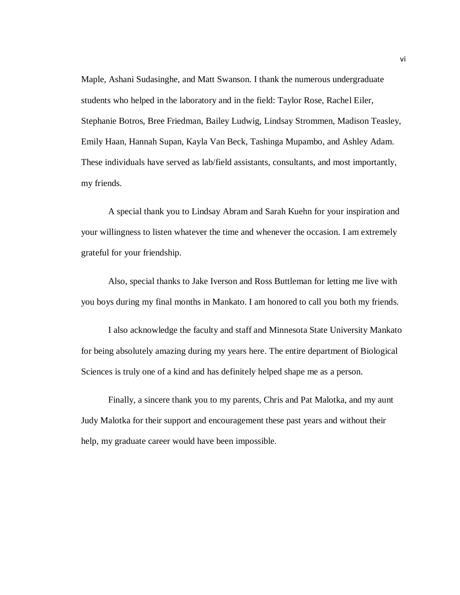Maple, Ashani Sudasinghe, and Matt Swanson. I thank the numerous undergraduate students who helped in the laboratory and in the field: Taylor Rose, Rachel Eiler, Stephanie Botros, Bree Friedman, Bailey Ludwig, Lindsay Strommen, Madison Teasley, Emily Haan, Hannah Supan, Kayla Van Beck, Tashinga Mupambo, and Ashley Adam. These individuals have served as lab/field assistants, consultants, and most importantly, my friends.

A special thank you to Lindsay Abram and Sarah Kuehn for your inspiration and your willingness to listen whatever the time and whenever the occasion. I am extremely grateful for your friendship.

Also, special thanks to Jake Iverson and Ross Buttleman for letting me live with you boys during my final months in Mankato. I am honored to call you both my friends.

I also acknowledge the faculty and staff and Minnesota State University Mankato for being absolutely amazing during my years here. The entire department of Biological Sciences is truly one of a kind and has definitely helped shape me as a person.

Finally, a sincere thank you to my parents, Chris and Pat Malotka, and my aunt Judy Malotka for their support and encouragement these past years and without their help, my graduate career would have been impossible.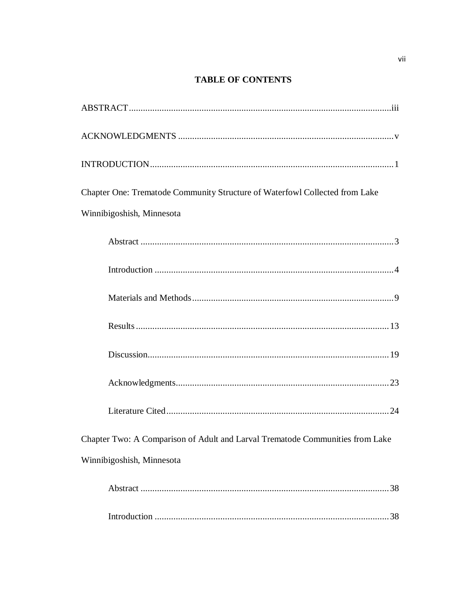## **TABLE OF CONTENTS**

| Chapter One: Trematode Community Structure of Waterfowl Collected from Lake   |
|-------------------------------------------------------------------------------|
| Winnibigoshish, Minnesota                                                     |
|                                                                               |
|                                                                               |
|                                                                               |
|                                                                               |
|                                                                               |
|                                                                               |
|                                                                               |
| Chapter Two: A Comparison of Adult and Larval Trematode Communities from Lake |
| Winnibigoshish, Minnesota                                                     |
|                                                                               |
|                                                                               |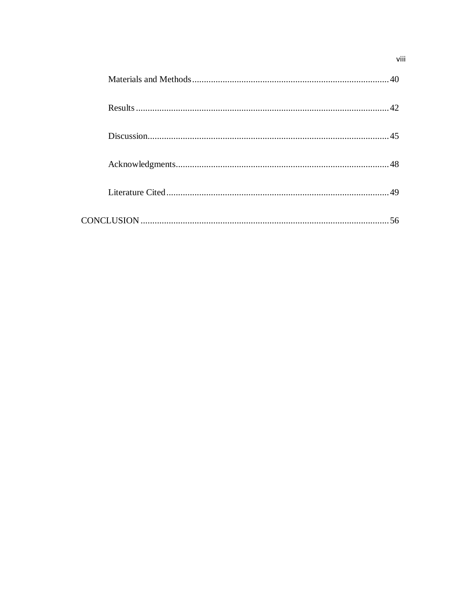|  | 40         |
|--|------------|
|  |            |
|  |            |
|  |            |
|  | $\Delta$ 9 |
|  |            |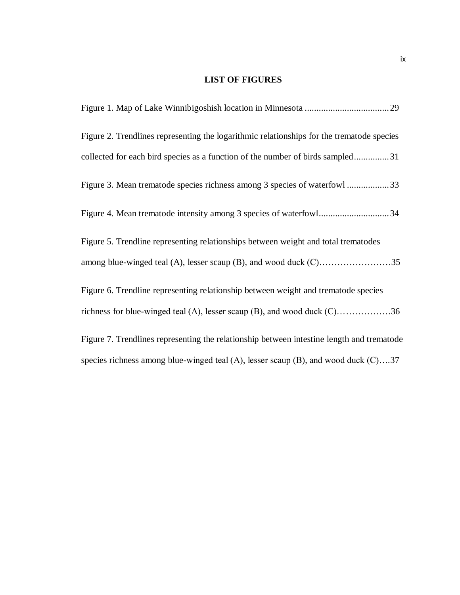### **LIST OF FIGURES**

| Figure 2. Trendlines representing the logarithmic relationships for the trematode species   |
|---------------------------------------------------------------------------------------------|
| collected for each bird species as a function of the number of birds sampled31              |
| Figure 3. Mean trematode species richness among 3 species of waterfowl 33                   |
| Figure 4. Mean trematode intensity among 3 species of waterfowl34                           |
| Figure 5. Trendline representing relationships between weight and total trematodes          |
|                                                                                             |
| Figure 6. Trendline representing relationship between weight and trematode species          |
| richness for blue-winged teal (A), lesser scaup (B), and wood duck $(C)$ 36                 |
| Figure 7. Trendlines representing the relationship between intestine length and trematode   |
| species richness among blue-winged teal $(A)$ , lesser scaup $(B)$ , and wood duck $(C)$ 37 |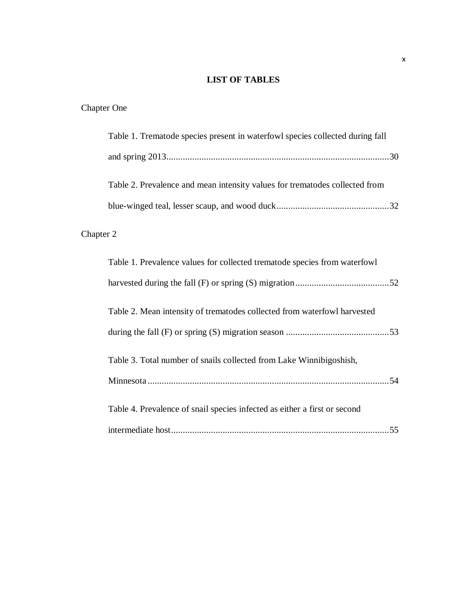## **LIST OF TABLES**

# Chapter One

| Table 1. Trematode species present in waterfowl species collected during fall |
|-------------------------------------------------------------------------------|
|                                                                               |
| Table 2. Prevalence and mean intensity values for trematodes collected from   |
|                                                                               |
| Chapter 2                                                                     |
| Table 1. Prevalence values for collected trematode species from waterfowl     |
|                                                                               |
| Table 2. Mean intensity of trematodes collected from waterfowl harvested      |
|                                                                               |
| Table 3. Total number of snails collected from Lake Winnibigoshish,           |
|                                                                               |
| Table 4. Prevalence of snail species infected as either a first or second     |
|                                                                               |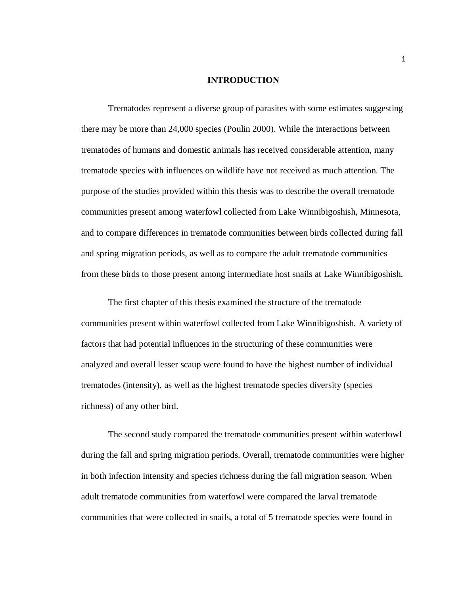#### **INTRODUCTION**

Trematodes represent a diverse group of parasites with some estimates suggesting there may be more than 24,000 species (Poulin 2000). While the interactions between trematodes of humans and domestic animals has received considerable attention, many trematode species with influences on wildlife have not received as much attention. The purpose of the studies provided within this thesis was to describe the overall trematode communities present among waterfowl collected from Lake Winnibigoshish, Minnesota, and to compare differences in trematode communities between birds collected during fall and spring migration periods, as well as to compare the adult trematode communities from these birds to those present among intermediate host snails at Lake Winnibigoshish.

The first chapter of this thesis examined the structure of the trematode communities present within waterfowl collected from Lake Winnibigoshish. A variety of factors that had potential influences in the structuring of these communities were analyzed and overall lesser scaup were found to have the highest number of individual trematodes (intensity), as well as the highest trematode species diversity (species richness) of any other bird.

The second study compared the trematode communities present within waterfowl during the fall and spring migration periods. Overall, trematode communities were higher in both infection intensity and species richness during the fall migration season. When adult trematode communities from waterfowl were compared the larval trematode communities that were collected in snails, a total of 5 trematode species were found in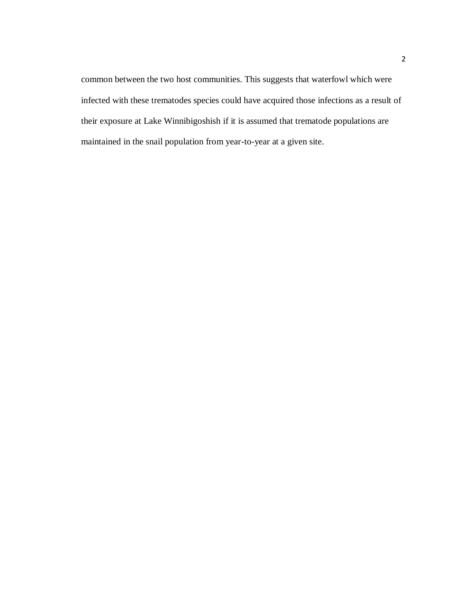common between the two host communities. This suggests that waterfowl which were infected with these trematodes species could have acquired those infections as a result of their exposure at Lake Winnibigoshish if it is assumed that trematode populations are maintained in the snail population from year-to-year at a given site.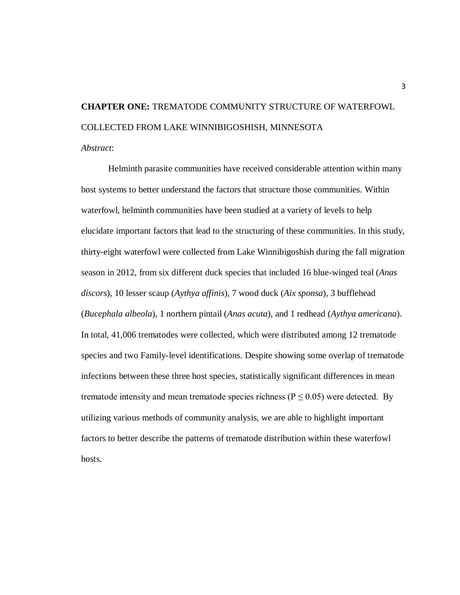# **CHAPTER ONE:** TREMATODE COMMUNITY STRUCTURE OF WATERFOWL COLLECTED FROM LAKE WINNIBIGOSHISH, MINNESOTA

*Abstract*:

Helminth parasite communities have received considerable attention within many host systems to better understand the factors that structure those communities. Within waterfowl, helminth communities have been studied at a variety of levels to help elucidate important factors that lead to the structuring of these communities. In this study, thirty-eight waterfowl were collected from Lake Winnibigoshish during the fall migration season in 2012, from six different duck species that included 16 blue-winged teal (*Anas discors*), 10 lesser scaup (*Aythya affinis*), 7 wood duck (*Aix sponsa*), 3 bufflehead (*Bucephala albeola*), 1 northern pintail (*Anas acuta*), and 1 redhead (*Aythya americana*). In total, 41,006 trematodes were collected, which were distributed among 12 trematode species and two Family-level identifications. Despite showing some overlap of trematode infections between these three host species, statistically significant differences in mean trematode intensity and mean trematode species richness ( $P \le 0.05$ ) were detected. By utilizing various methods of community analysis, we are able to highlight important factors to better describe the patterns of trematode distribution within these waterfowl hosts.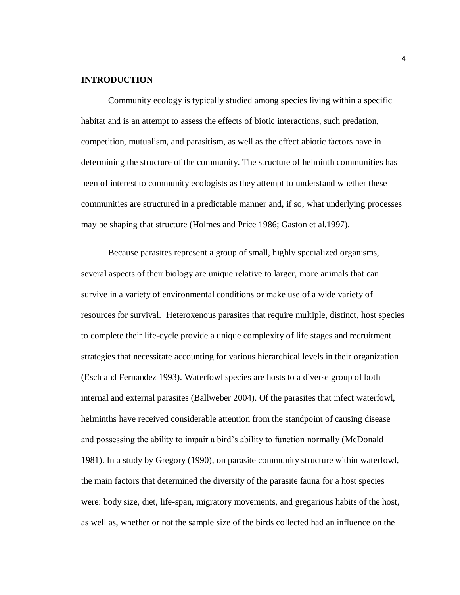#### **INTRODUCTION**

Community ecology is typically studied among species living within a specific habitat and is an attempt to assess the effects of biotic interactions, such predation, competition, mutualism, and parasitism, as well as the effect abiotic factors have in determining the structure of the community. The structure of helminth communities has been of interest to community ecologists as they attempt to understand whether these communities are structured in a predictable manner and, if so, what underlying processes may be shaping that structure (Holmes and Price 1986; Gaston et al.1997).

Because parasites represent a group of small, highly specialized organisms, several aspects of their biology are unique relative to larger, more animals that can survive in a variety of environmental conditions or make use of a wide variety of resources for survival. Heteroxenous parasites that require multiple, distinct, host species to complete their life-cycle provide a unique complexity of life stages and recruitment strategies that necessitate accounting for various hierarchical levels in their organization (Esch and Fernandez 1993). Waterfowl species are hosts to a diverse group of both internal and external parasites (Ballweber 2004). Of the parasites that infect waterfowl, helminths have received considerable attention from the standpoint of causing disease and possessing the ability to impair a bird's ability to function normally (McDonald 1981). In a study by Gregory (1990), on parasite community structure within waterfowl, the main factors that determined the diversity of the parasite fauna for a host species were: body size, diet, life-span, migratory movements, and gregarious habits of the host, as well as, whether or not the sample size of the birds collected had an influence on the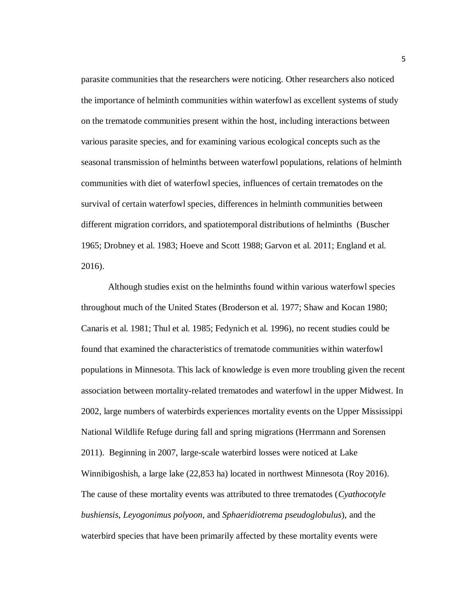parasite communities that the researchers were noticing. Other researchers also noticed the importance of helminth communities within waterfowl as excellent systems of study on the trematode communities present within the host, including interactions between various parasite species, and for examining various ecological concepts such as the seasonal transmission of helminths between waterfowl populations, relations of helminth communities with diet of waterfowl species, influences of certain trematodes on the survival of certain waterfowl species, differences in helminth communities between different migration corridors, and spatiotemporal distributions of helminths (Buscher 1965; Drobney et al. 1983; Hoeve and Scott 1988; Garvon et al. 2011; England et al. 2016).

Although studies exist on the helminths found within various waterfowl species throughout much of the United States (Broderson et al. 1977; Shaw and Kocan 1980; Canaris et al. 1981; Thul et al. 1985; Fedynich et al. 1996), no recent studies could be found that examined the characteristics of trematode communities within waterfowl populations in Minnesota. This lack of knowledge is even more troubling given the recent association between mortality-related trematodes and waterfowl in the upper Midwest. In 2002, large numbers of waterbirds experiences mortality events on the Upper Mississippi National Wildlife Refuge during fall and spring migrations (Herrmann and Sorensen 2011). Beginning in 2007, large-scale waterbird losses were noticed at Lake Winnibigoshish, a large lake (22,853 ha) located in northwest Minnesota (Roy 2016). The cause of these mortality events was attributed to three trematodes (*Cyathocotyle bushiensis*, *Leyogonimus polyoon*, and *Sphaeridiotrema pseudoglobulus*), and the waterbird species that have been primarily affected by these mortality events were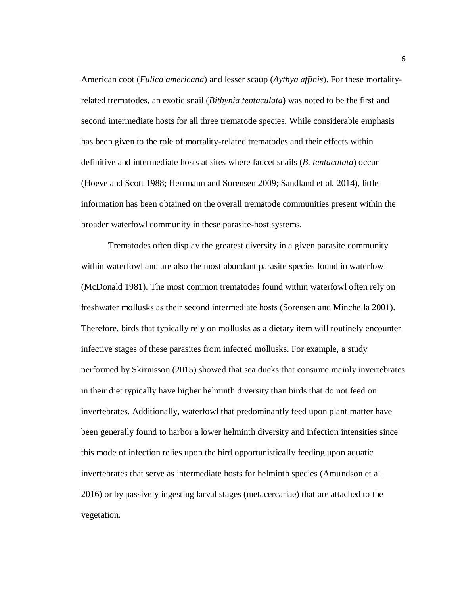American coot (*Fulica americana*) and lesser scaup (*Aythya affinis*). For these mortalityrelated trematodes, an exotic snail (*Bithynia tentaculata*) was noted to be the first and second intermediate hosts for all three trematode species. While considerable emphasis has been given to the role of mortality-related trematodes and their effects within definitive and intermediate hosts at sites where faucet snails (*B. tentaculata*) occur (Hoeve and Scott 1988; Herrmann and Sorensen 2009; Sandland et al. 2014), little information has been obtained on the overall trematode communities present within the broader waterfowl community in these parasite-host systems.

Trematodes often display the greatest diversity in a given parasite community within waterfowl and are also the most abundant parasite species found in waterfowl (McDonald 1981). The most common trematodes found within waterfowl often rely on freshwater mollusks as their second intermediate hosts (Sorensen and Minchella 2001). Therefore, birds that typically rely on mollusks as a dietary item will routinely encounter infective stages of these parasites from infected mollusks. For example, a study performed by Skirnisson (2015) showed that sea ducks that consume mainly invertebrates in their diet typically have higher helminth diversity than birds that do not feed on invertebrates. Additionally, waterfowl that predominantly feed upon plant matter have been generally found to harbor a lower helminth diversity and infection intensities since this mode of infection relies upon the bird opportunistically feeding upon aquatic invertebrates that serve as intermediate hosts for helminth species (Amundson et al. 2016) or by passively ingesting larval stages (metacercariae) that are attached to the vegetation.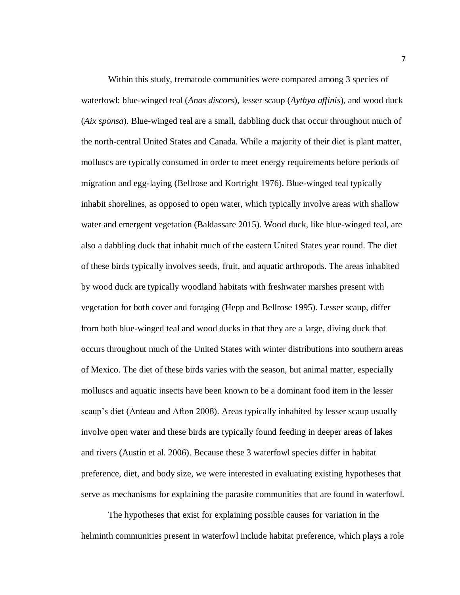Within this study, trematode communities were compared among 3 species of waterfowl: blue-winged teal (*Anas discors*), lesser scaup (*Aythya affinis*), and wood duck (*Aix sponsa*). Blue-winged teal are a small, dabbling duck that occur throughout much of the north-central United States and Canada. While a majority of their diet is plant matter, molluscs are typically consumed in order to meet energy requirements before periods of migration and egg-laying (Bellrose and Kortright 1976). Blue-winged teal typically inhabit shorelines, as opposed to open water, which typically involve areas with shallow water and emergent vegetation (Baldassare 2015). Wood duck, like blue-winged teal, are also a dabbling duck that inhabit much of the eastern United States year round. The diet of these birds typically involves seeds, fruit, and aquatic arthropods. The areas inhabited by wood duck are typically woodland habitats with freshwater marshes present with vegetation for both cover and foraging (Hepp and Bellrose 1995). Lesser scaup, differ from both blue-winged teal and wood ducks in that they are a large, diving duck that occurs throughout much of the United States with winter distributions into southern areas of Mexico. The diet of these birds varies with the season, but animal matter, especially molluscs and aquatic insects have been known to be a dominant food item in the lesser scaup's diet (Anteau and Afton 2008). Areas typically inhabited by lesser scaup usually involve open water and these birds are typically found feeding in deeper areas of lakes and rivers (Austin et al. 2006). Because these 3 waterfowl species differ in habitat preference, diet, and body size, we were interested in evaluating existing hypotheses that serve as mechanisms for explaining the parasite communities that are found in waterfowl.

The hypotheses that exist for explaining possible causes for variation in the helminth communities present in waterfowl include habitat preference, which plays a role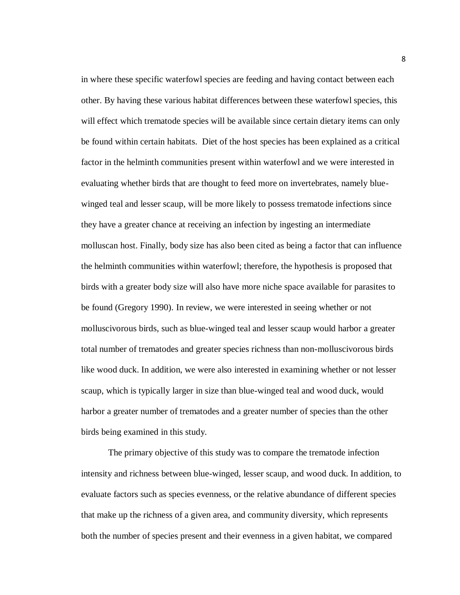in where these specific waterfowl species are feeding and having contact between each other. By having these various habitat differences between these waterfowl species, this will effect which trematode species will be available since certain dietary items can only be found within certain habitats. Diet of the host species has been explained as a critical factor in the helminth communities present within waterfowl and we were interested in evaluating whether birds that are thought to feed more on invertebrates, namely bluewinged teal and lesser scaup, will be more likely to possess trematode infections since they have a greater chance at receiving an infection by ingesting an intermediate molluscan host. Finally, body size has also been cited as being a factor that can influence the helminth communities within waterfowl; therefore, the hypothesis is proposed that birds with a greater body size will also have more niche space available for parasites to be found (Gregory 1990). In review, we were interested in seeing whether or not molluscivorous birds, such as blue-winged teal and lesser scaup would harbor a greater total number of trematodes and greater species richness than non-molluscivorous birds like wood duck. In addition, we were also interested in examining whether or not lesser scaup, which is typically larger in size than blue-winged teal and wood duck, would harbor a greater number of trematodes and a greater number of species than the other birds being examined in this study.

The primary objective of this study was to compare the trematode infection intensity and richness between blue-winged, lesser scaup, and wood duck. In addition, to evaluate factors such as species evenness, or the relative abundance of different species that make up the richness of a given area, and community diversity, which represents both the number of species present and their evenness in a given habitat, we compared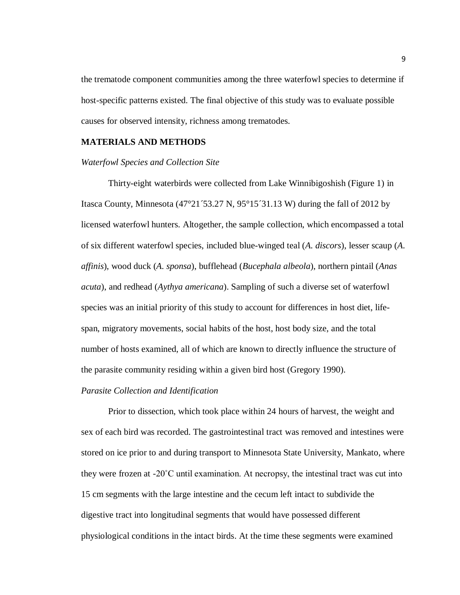the trematode component communities among the three waterfowl species to determine if host-specific patterns existed. The final objective of this study was to evaluate possible causes for observed intensity, richness among trematodes.

#### **MATERIALS AND METHODS**

#### *Waterfowl Species and Collection Site*

Thirty-eight waterbirds were collected from Lake Winnibigoshish (Figure 1) in Itasca County, Minnesota (47°21´53.27 N, 95°15´31.13 W) during the fall of 2012 by licensed waterfowl hunters. Altogether, the sample collection, which encompassed a total of six different waterfowl species, included blue-winged teal (*A. discors*), lesser scaup (*A. affinis*), wood duck (*A. sponsa*), bufflehead (*Bucephala albeola*), northern pintail (*Anas acuta*), and redhead (*Aythya americana*). Sampling of such a diverse set of waterfowl species was an initial priority of this study to account for differences in host diet, lifespan, migratory movements, social habits of the host, host body size, and the total number of hosts examined, all of which are known to directly influence the structure of the parasite community residing within a given bird host (Gregory 1990).

#### *Parasite Collection and Identification*

Prior to dissection, which took place within 24 hours of harvest, the weight and sex of each bird was recorded. The gastrointestinal tract was removed and intestines were stored on ice prior to and during transport to Minnesota State University, Mankato, where they were frozen at -20˚C until examination. At necropsy, the intestinal tract was cut into 15 cm segments with the large intestine and the cecum left intact to subdivide the digestive tract into longitudinal segments that would have possessed different physiological conditions in the intact birds. At the time these segments were examined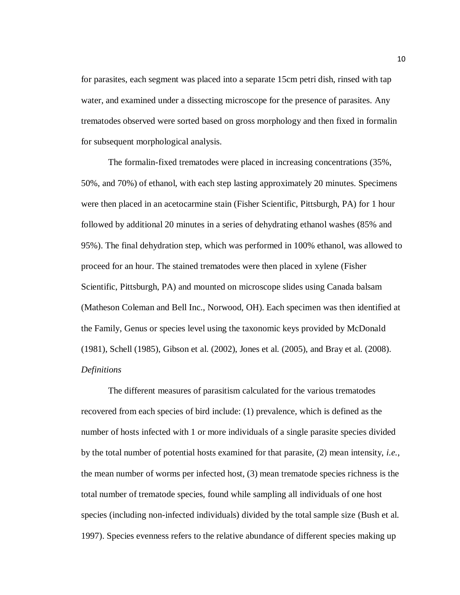for parasites, each segment was placed into a separate 15cm petri dish, rinsed with tap water, and examined under a dissecting microscope for the presence of parasites. Any trematodes observed were sorted based on gross morphology and then fixed in formalin for subsequent morphological analysis.

The formalin-fixed trematodes were placed in increasing concentrations (35%, 50%, and 70%) of ethanol, with each step lasting approximately 20 minutes. Specimens were then placed in an acetocarmine stain (Fisher Scientific, Pittsburgh, PA) for 1 hour followed by additional 20 minutes in a series of dehydrating ethanol washes (85% and 95%). The final dehydration step, which was performed in 100% ethanol, was allowed to proceed for an hour. The stained trematodes were then placed in xylene (Fisher Scientific, Pittsburgh, PA) and mounted on microscope slides using Canada balsam (Matheson Coleman and Bell Inc., Norwood, OH). Each specimen was then identified at the Family, Genus or species level using the taxonomic keys provided by McDonald (1981), Schell (1985), Gibson et al. (2002), Jones et al. (2005), and Bray et al. (2008). *Definitions*

The different measures of parasitism calculated for the various trematodes recovered from each species of bird include: (1) prevalence, which is defined as the number of hosts infected with 1 or more individuals of a single parasite species divided by the total number of potential hosts examined for that parasite, (2) mean intensity, *i.e.*, the mean number of worms per infected host, (3) mean trematode species richness is the total number of trematode species, found while sampling all individuals of one host species (including non-infected individuals) divided by the total sample size (Bush et al. 1997). Species evenness refers to the relative abundance of different species making up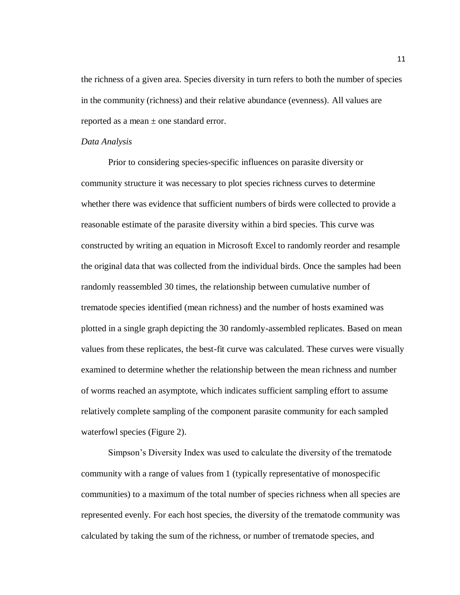the richness of a given area. Species diversity in turn refers to both the number of species in the community (richness) and their relative abundance (evenness). All values are reported as a mean  $\pm$  one standard error.

#### *Data Analysis*

Prior to considering species-specific influences on parasite diversity or community structure it was necessary to plot species richness curves to determine whether there was evidence that sufficient numbers of birds were collected to provide a reasonable estimate of the parasite diversity within a bird species. This curve was constructed by writing an equation in Microsoft Excel to randomly reorder and resample the original data that was collected from the individual birds. Once the samples had been randomly reassembled 30 times, the relationship between cumulative number of trematode species identified (mean richness) and the number of hosts examined was plotted in a single graph depicting the 30 randomly-assembled replicates. Based on mean values from these replicates, the best-fit curve was calculated. These curves were visually examined to determine whether the relationship between the mean richness and number of worms reached an asymptote, which indicates sufficient sampling effort to assume relatively complete sampling of the component parasite community for each sampled waterfowl species (Figure 2).

Simpson's Diversity Index was used to calculate the diversity of the trematode community with a range of values from 1 (typically representative of monospecific communities) to a maximum of the total number of species richness when all species are represented evenly. For each host species, the diversity of the trematode community was calculated by taking the sum of the richness, or number of trematode species, and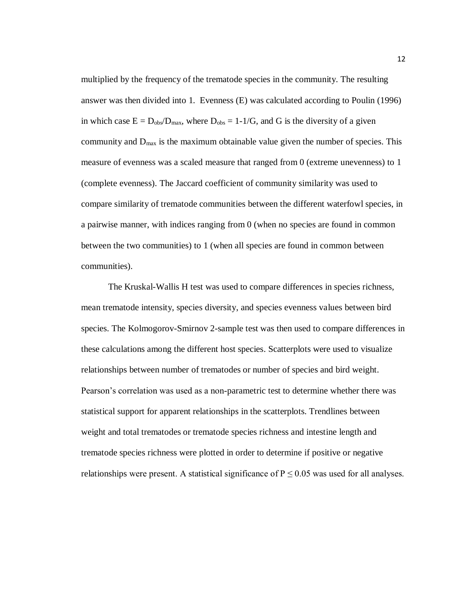multiplied by the frequency of the trematode species in the community. The resulting answer was then divided into 1. Evenness (E) was calculated according to Poulin (1996) in which case  $E = D_{obs}/D_{max}$ , where  $D_{obs} = 1-1/G$ , and G is the diversity of a given community and  $D_{\text{max}}$  is the maximum obtainable value given the number of species. This measure of evenness was a scaled measure that ranged from 0 (extreme unevenness) to 1 (complete evenness). The Jaccard coefficient of community similarity was used to compare similarity of trematode communities between the different waterfowl species, in a pairwise manner, with indices ranging from 0 (when no species are found in common between the two communities) to 1 (when all species are found in common between communities).

The Kruskal-Wallis H test was used to compare differences in species richness, mean trematode intensity, species diversity, and species evenness values between bird species. The Kolmogorov-Smirnov 2-sample test was then used to compare differences in these calculations among the different host species. Scatterplots were used to visualize relationships between number of trematodes or number of species and bird weight. Pearson's correlation was used as a non-parametric test to determine whether there was statistical support for apparent relationships in the scatterplots. Trendlines between weight and total trematodes or trematode species richness and intestine length and trematode species richness were plotted in order to determine if positive or negative relationships were present. A statistical significance of  $P \le 0.05$  was used for all analyses.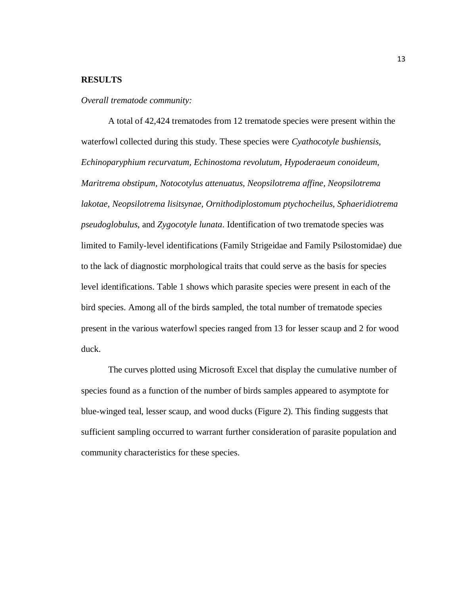#### **RESULTS**

*Overall trematode community:*

A total of 42,424 trematodes from 12 trematode species were present within the waterfowl collected during this study. These species were *Cyathocotyle bushiensis, Echinoparyphium recurvatum, Echinostoma revolutum, Hypoderaeum conoideum, Maritrema obstipum, Notocotylus attenuatus, Neopsilotrema affine, Neopsilotrema lakotae, Neopsilotrema lisitsynae, Ornithodiplostomum ptychocheilus, Sphaeridiotrema pseudoglobulus*, and *Zygocotyle lunata*. Identification of two trematode species was limited to Family-level identifications (Family Strigeidae and Family Psilostomidae) due to the lack of diagnostic morphological traits that could serve as the basis for species level identifications. Table 1 shows which parasite species were present in each of the bird species. Among all of the birds sampled, the total number of trematode species present in the various waterfowl species ranged from 13 for lesser scaup and 2 for wood duck.

The curves plotted using Microsoft Excel that display the cumulative number of species found as a function of the number of birds samples appeared to asymptote for blue-winged teal, lesser scaup, and wood ducks (Figure 2). This finding suggests that sufficient sampling occurred to warrant further consideration of parasite population and community characteristics for these species.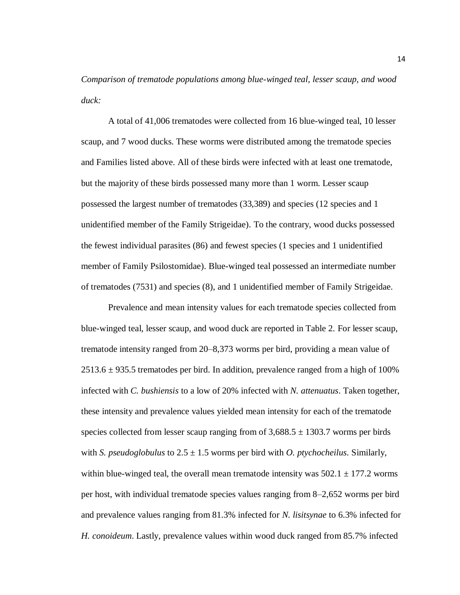*Comparison of trematode populations among blue-winged teal, lesser scaup, and wood duck:*

A total of 41,006 trematodes were collected from 16 blue-winged teal, 10 lesser scaup, and 7 wood ducks. These worms were distributed among the trematode species and Families listed above. All of these birds were infected with at least one trematode, but the majority of these birds possessed many more than 1 worm. Lesser scaup possessed the largest number of trematodes (33,389) and species (12 species and 1 unidentified member of the Family Strigeidae). To the contrary, wood ducks possessed the fewest individual parasites (86) and fewest species (1 species and 1 unidentified member of Family Psilostomidae). Blue-winged teal possessed an intermediate number of trematodes (7531) and species (8), and 1 unidentified member of Family Strigeidae.

Prevalence and mean intensity values for each trematode species collected from blue-winged teal, lesser scaup, and wood duck are reported in Table 2. For lesser scaup, trematode intensity ranged from 20–8,373 worms per bird, providing a mean value of  $2513.6 \pm 935.5$  trematodes per bird. In addition, prevalence ranged from a high of 100% infected with *C. bushiensis* to a low of 20% infected with *N. attenuatus*. Taken together, these intensity and prevalence values yielded mean intensity for each of the trematode species collected from lesser scaup ranging from of  $3,688.5 \pm 1303.7$  worms per birds with *S. pseudoglobulus* to  $2.5 \pm 1.5$  worms per bird with *O. ptychocheilus*. Similarly, within blue-winged teal, the overall mean trematode intensity was  $502.1 \pm 177.2$  worms per host, with individual trematode species values ranging from 8–2,652 worms per bird and prevalence values ranging from 81.3% infected for *N. lisitsynae* to 6.3% infected for *H. conoideum*. Lastly, prevalence values within wood duck ranged from 85.7% infected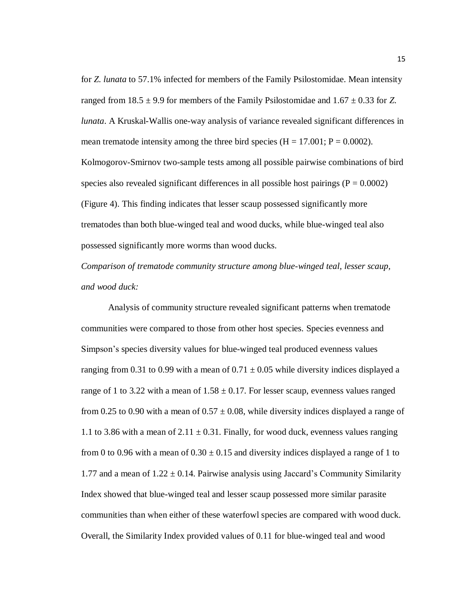for *Z. lunata* to 57.1% infected for members of the Family Psilostomidae. Mean intensity ranged from  $18.5 \pm 9.9$  for members of the Family Psilostomidae and  $1.67 \pm 0.33$  for *Z*. *lunata*. A Kruskal-Wallis one-way analysis of variance revealed significant differences in mean trematode intensity among the three bird species  $(H = 17.001; P = 0.0002)$ . Kolmogorov-Smirnov two-sample tests among all possible pairwise combinations of bird species also revealed significant differences in all possible host pairings  $(P = 0.0002)$ (Figure 4). This finding indicates that lesser scaup possessed significantly more trematodes than both blue-winged teal and wood ducks, while blue-winged teal also possessed significantly more worms than wood ducks.

*Comparison of trematode community structure among blue-winged teal, lesser scaup, and wood duck:*

Analysis of community structure revealed significant patterns when trematode communities were compared to those from other host species. Species evenness and Simpson's species diversity values for blue-winged teal produced evenness values ranging from 0.31 to 0.99 with a mean of  $0.71 \pm 0.05$  while diversity indices displayed a range of 1 to 3.22 with a mean of  $1.58 \pm 0.17$ . For lesser scaup, evenness values ranged from 0.25 to 0.90 with a mean of  $0.57 \pm 0.08$ , while diversity indices displayed a range of 1.1 to 3.86 with a mean of  $2.11 \pm 0.31$ . Finally, for wood duck, evenness values ranging from 0 to 0.96 with a mean of  $0.30 \pm 0.15$  and diversity indices displayed a range of 1 to 1.77 and a mean of  $1.22 \pm 0.14$ . Pairwise analysis using Jaccard's Community Similarity Index showed that blue-winged teal and lesser scaup possessed more similar parasite communities than when either of these waterfowl species are compared with wood duck. Overall, the Similarity Index provided values of 0.11 for blue-winged teal and wood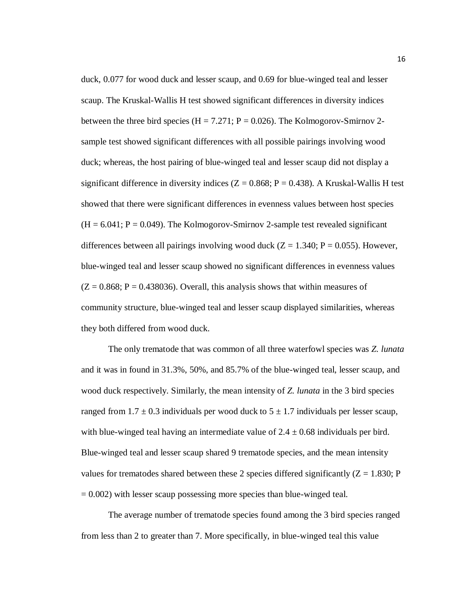duck, 0.077 for wood duck and lesser scaup, and 0.69 for blue-winged teal and lesser scaup. The Kruskal-Wallis H test showed significant differences in diversity indices between the three bird species (H = 7.271;  $P = 0.026$ ). The Kolmogorov-Smirnov 2sample test showed significant differences with all possible pairings involving wood duck; whereas, the host pairing of blue-winged teal and lesser scaup did not display a significant difference in diversity indices ( $Z = 0.868$ ;  $P = 0.438$ ). A Kruskal-Wallis H test showed that there were significant differences in evenness values between host species  $(H = 6.041; P = 0.049)$ . The Kolmogorov-Smirnov 2-sample test revealed significant differences between all pairings involving wood duck  $(Z = 1.340; P = 0.055)$ . However, blue-winged teal and lesser scaup showed no significant differences in evenness values  $(Z = 0.868; P = 0.438036)$ . Overall, this analysis shows that within measures of community structure, blue-winged teal and lesser scaup displayed similarities, whereas they both differed from wood duck.

The only trematode that was common of all three waterfowl species was *Z. lunata* and it was in found in 31.3%, 50%, and 85.7% of the blue-winged teal, lesser scaup, and wood duck respectively. Similarly, the mean intensity of *Z. lunata* in the 3 bird species ranged from  $1.7 \pm 0.3$  individuals per wood duck to  $5 \pm 1.7$  individuals per lesser scaup, with blue-winged teal having an intermediate value of  $2.4 \pm 0.68$  individuals per bird. Blue-winged teal and lesser scaup shared 9 trematode species, and the mean intensity values for trematodes shared between these 2 species differed significantly  $(Z = 1.830; P)$  $= 0.002$ ) with lesser scaup possessing more species than blue-winged teal.

The average number of trematode species found among the 3 bird species ranged from less than 2 to greater than 7. More specifically, in blue-winged teal this value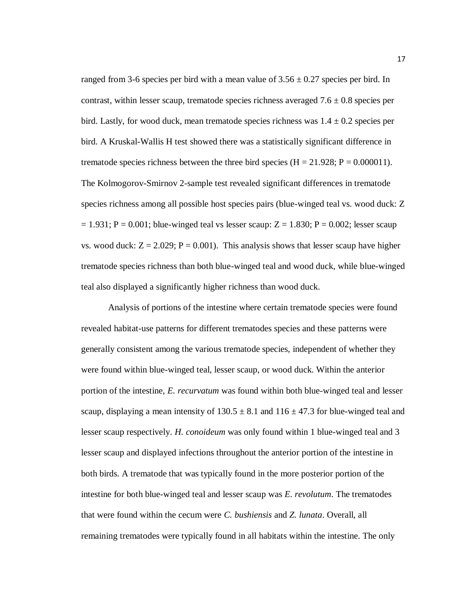ranged from 3-6 species per bird with a mean value of  $3.56 \pm 0.27$  species per bird. In contrast, within lesser scaup, trematode species richness averaged  $7.6 \pm 0.8$  species per bird. Lastly, for wood duck, mean trematode species richness was  $1.4 \pm 0.2$  species per bird. A Kruskal-Wallis H test showed there was a statistically significant difference in trematode species richness between the three bird species ( $H = 21.928$ ;  $P = 0.000011$ ). The Kolmogorov-Smirnov 2-sample test revealed significant differences in trematode species richness among all possible host species pairs (blue-winged teal vs. wood duck: Z  $= 1.931$ ; P = 0.001; blue-winged teal vs lesser scaup: Z = 1.830; P = 0.002; lesser scaup vs. wood duck:  $Z = 2.029$ ;  $P = 0.001$ ). This analysis shows that lesser scaup have higher trematode species richness than both blue-winged teal and wood duck, while blue-winged teal also displayed a significantly higher richness than wood duck.

Analysis of portions of the intestine where certain trematode species were found revealed habitat-use patterns for different trematodes species and these patterns were generally consistent among the various trematode species, independent of whether they were found within blue-winged teal, lesser scaup, or wood duck. Within the anterior portion of the intestine, *E. recurvatum* was found within both blue-winged teal and lesser scaup, displaying a mean intensity of  $130.5 \pm 8.1$  and  $116 \pm 47.3$  for blue-winged teal and lesser scaup respectively. *H. conoideum* was only found within 1 blue-winged teal and 3 lesser scaup and displayed infections throughout the anterior portion of the intestine in both birds. A trematode that was typically found in the more posterior portion of the intestine for both blue-winged teal and lesser scaup was *E. revolutum*. The trematodes that were found within the cecum were *C. bushiensis* and *Z. lunata*. Overall, all remaining trematodes were typically found in all habitats within the intestine. The only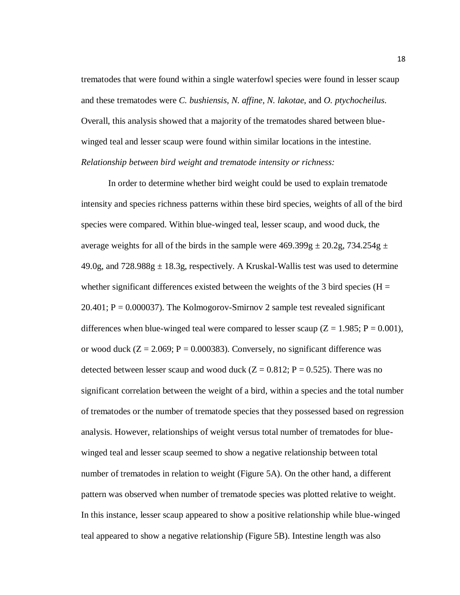trematodes that were found within a single waterfowl species were found in lesser scaup and these trematodes were *C. bushiensis*, *N. affine*, *N. lakotae*, and *O. ptychocheilus*. Overall, this analysis showed that a majority of the trematodes shared between bluewinged teal and lesser scaup were found within similar locations in the intestine. *Relationship between bird weight and trematode intensity or richness:*

In order to determine whether bird weight could be used to explain trematode intensity and species richness patterns within these bird species, weights of all of the bird species were compared. Within blue-winged teal, lesser scaup, and wood duck, the average weights for all of the birds in the sample were  $469.399g \pm 20.2g$ ,  $734.254g \pm 1$  $49.0g$ , and  $728.988g \pm 18.3g$ , respectively. A Kruskal-Wallis test was used to determine whether significant differences existed between the weights of the 3 bird species ( $H =$  $20.401$ ;  $P = 0.000037$ ). The Kolmogorov-Smirnov 2 sample test revealed significant differences when blue-winged teal were compared to lesser scaup ( $Z = 1.985$ ;  $P = 0.001$ ), or wood duck  $(Z = 2.069; P = 0.000383)$ . Conversely, no significant difference was detected between lesser scaup and wood duck  $(Z = 0.812; P = 0.525)$ . There was no significant correlation between the weight of a bird, within a species and the total number of trematodes or the number of trematode species that they possessed based on regression analysis. However, relationships of weight versus total number of trematodes for bluewinged teal and lesser scaup seemed to show a negative relationship between total number of trematodes in relation to weight (Figure 5A). On the other hand, a different pattern was observed when number of trematode species was plotted relative to weight. In this instance, lesser scaup appeared to show a positive relationship while blue-winged teal appeared to show a negative relationship (Figure 5B). Intestine length was also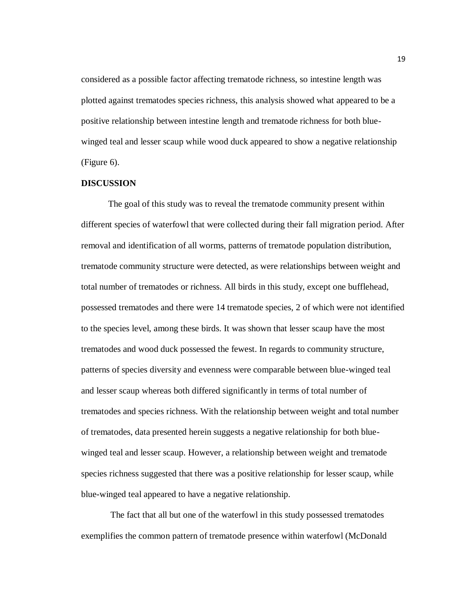considered as a possible factor affecting trematode richness, so intestine length was plotted against trematodes species richness, this analysis showed what appeared to be a positive relationship between intestine length and trematode richness for both bluewinged teal and lesser scaup while wood duck appeared to show a negative relationship (Figure 6).

#### **DISCUSSION**

The goal of this study was to reveal the trematode community present within different species of waterfowl that were collected during their fall migration period. After removal and identification of all worms, patterns of trematode population distribution, trematode community structure were detected, as were relationships between weight and total number of trematodes or richness. All birds in this study, except one bufflehead, possessed trematodes and there were 14 trematode species, 2 of which were not identified to the species level, among these birds. It was shown that lesser scaup have the most trematodes and wood duck possessed the fewest. In regards to community structure, patterns of species diversity and evenness were comparable between blue-winged teal and lesser scaup whereas both differed significantly in terms of total number of trematodes and species richness. With the relationship between weight and total number of trematodes, data presented herein suggests a negative relationship for both bluewinged teal and lesser scaup. However, a relationship between weight and trematode species richness suggested that there was a positive relationship for lesser scaup, while blue-winged teal appeared to have a negative relationship.

The fact that all but one of the waterfowl in this study possessed trematodes exemplifies the common pattern of trematode presence within waterfowl (McDonald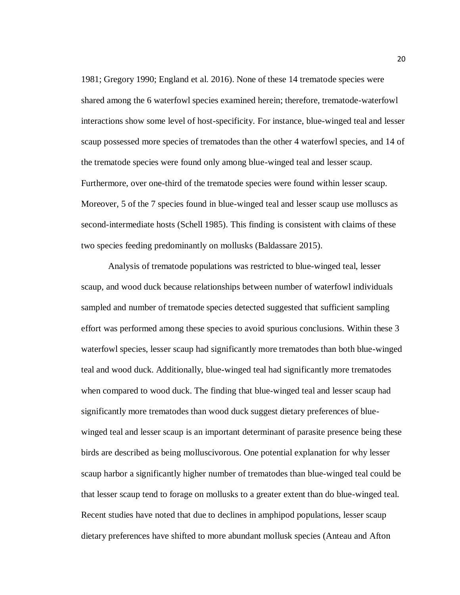1981; Gregory 1990; England et al. 2016). None of these 14 trematode species were shared among the 6 waterfowl species examined herein; therefore, trematode-waterfowl interactions show some level of host-specificity. For instance, blue-winged teal and lesser scaup possessed more species of trematodes than the other 4 waterfowl species, and 14 of the trematode species were found only among blue-winged teal and lesser scaup. Furthermore, over one-third of the trematode species were found within lesser scaup. Moreover, 5 of the 7 species found in blue-winged teal and lesser scaup use molluscs as second-intermediate hosts (Schell 1985). This finding is consistent with claims of these two species feeding predominantly on mollusks (Baldassare 2015).

Analysis of trematode populations was restricted to blue-winged teal, lesser scaup, and wood duck because relationships between number of waterfowl individuals sampled and number of trematode species detected suggested that sufficient sampling effort was performed among these species to avoid spurious conclusions. Within these 3 waterfowl species, lesser scaup had significantly more trematodes than both blue-winged teal and wood duck. Additionally, blue-winged teal had significantly more trematodes when compared to wood duck. The finding that blue-winged teal and lesser scaup had significantly more trematodes than wood duck suggest dietary preferences of bluewinged teal and lesser scaup is an important determinant of parasite presence being these birds are described as being molluscivorous. One potential explanation for why lesser scaup harbor a significantly higher number of trematodes than blue-winged teal could be that lesser scaup tend to forage on mollusks to a greater extent than do blue-winged teal. Recent studies have noted that due to declines in amphipod populations, lesser scaup dietary preferences have shifted to more abundant mollusk species (Anteau and Afton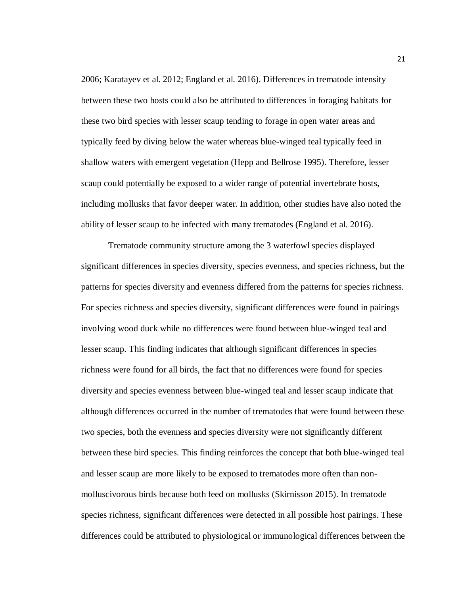2006; Karatayev et al. 2012; England et al. 2016). Differences in trematode intensity between these two hosts could also be attributed to differences in foraging habitats for these two bird species with lesser scaup tending to forage in open water areas and typically feed by diving below the water whereas blue-winged teal typically feed in shallow waters with emergent vegetation (Hepp and Bellrose 1995). Therefore, lesser scaup could potentially be exposed to a wider range of potential invertebrate hosts, including mollusks that favor deeper water. In addition, other studies have also noted the ability of lesser scaup to be infected with many trematodes (England et al. 2016).

Trematode community structure among the 3 waterfowl species displayed significant differences in species diversity, species evenness, and species richness, but the patterns for species diversity and evenness differed from the patterns for species richness. For species richness and species diversity, significant differences were found in pairings involving wood duck while no differences were found between blue-winged teal and lesser scaup. This finding indicates that although significant differences in species richness were found for all birds, the fact that no differences were found for species diversity and species evenness between blue-winged teal and lesser scaup indicate that although differences occurred in the number of trematodes that were found between these two species, both the evenness and species diversity were not significantly different between these bird species. This finding reinforces the concept that both blue-winged teal and lesser scaup are more likely to be exposed to trematodes more often than nonmolluscivorous birds because both feed on mollusks (Skirnisson 2015). In trematode species richness, significant differences were detected in all possible host pairings. These differences could be attributed to physiological or immunological differences between the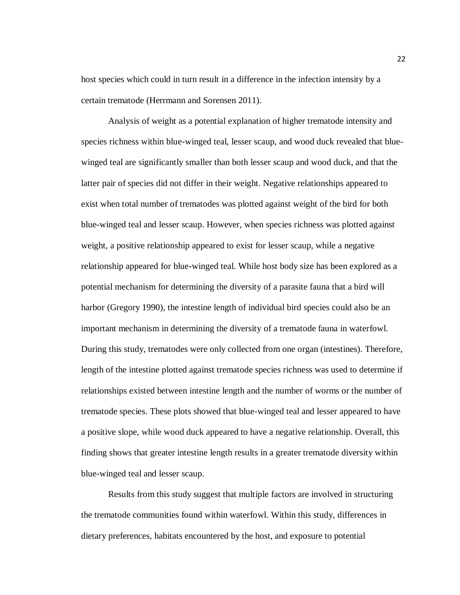host species which could in turn result in a difference in the infection intensity by a certain trematode (Herrmann and Sorensen 2011).

Analysis of weight as a potential explanation of higher trematode intensity and species richness within blue-winged teal, lesser scaup, and wood duck revealed that bluewinged teal are significantly smaller than both lesser scaup and wood duck, and that the latter pair of species did not differ in their weight. Negative relationships appeared to exist when total number of trematodes was plotted against weight of the bird for both blue-winged teal and lesser scaup. However, when species richness was plotted against weight, a positive relationship appeared to exist for lesser scaup, while a negative relationship appeared for blue-winged teal. While host body size has been explored as a potential mechanism for determining the diversity of a parasite fauna that a bird will harbor (Gregory 1990), the intestine length of individual bird species could also be an important mechanism in determining the diversity of a trematode fauna in waterfowl. During this study, trematodes were only collected from one organ (intestines). Therefore, length of the intestine plotted against trematode species richness was used to determine if relationships existed between intestine length and the number of worms or the number of trematode species. These plots showed that blue-winged teal and lesser appeared to have a positive slope, while wood duck appeared to have a negative relationship. Overall, this finding shows that greater intestine length results in a greater trematode diversity within blue-winged teal and lesser scaup.

Results from this study suggest that multiple factors are involved in structuring the trematode communities found within waterfowl. Within this study, differences in dietary preferences, habitats encountered by the host, and exposure to potential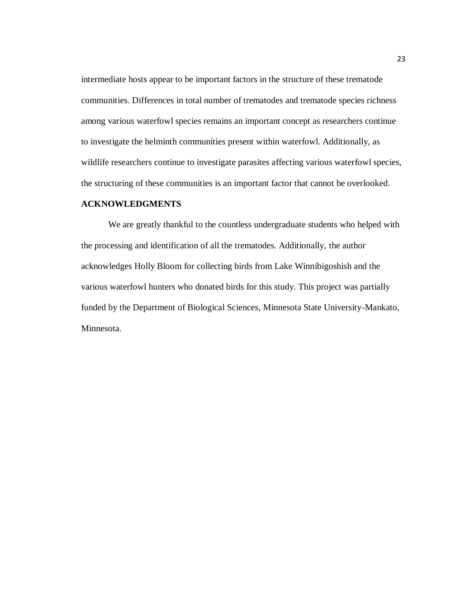intermediate hosts appear to be important factors in the structure of these trematode communities. Differences in total number of trematodes and trematode species richness among various waterfowl species remains an important concept as researchers continue to investigate the helminth communities present within waterfowl. Additionally, as wildlife researchers continue to investigate parasites affecting various waterfowl species, the structuring of these communities is an important factor that cannot be overlooked.

#### **ACKNOWLEDGMENTS**

We are greatly thankful to the countless undergraduate students who helped with the processing and identification of all the trematodes. Additionally, the author acknowledges Holly Bloom for collecting birds from Lake Winnibigoshish and the various waterfowl hunters who donated birds for this study. This project was partially funded by the Department of Biological Sciences, Minnesota State University-Mankato, Minnesota.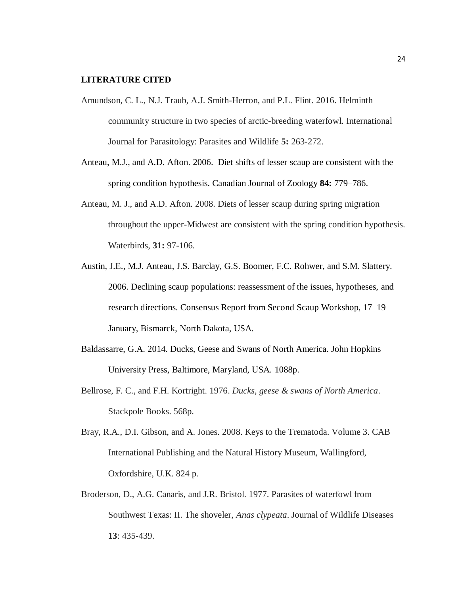#### **LITERATURE CITED**

- Amundson, C. L., N.J. Traub, A.J. Smith-Herron, and P.L. Flint. 2016. Helminth community structure in two species of arctic-breeding waterfowl. International Journal for Parasitology: Parasites and Wildlife **5:** 263-272.
- Anteau, M.J., and A.D. Afton. 2006. Diet shifts of lesser scaup are consistent with the spring condition hypothesis. Canadian Journal of Zoology **84:** 779–786.
- Anteau, M. J., and A.D. Afton. 2008. Diets of lesser scaup during spring migration throughout the upper-Midwest are consistent with the spring condition hypothesis. Waterbirds, **31:** 97-106.
- Austin, J.E., M.J. Anteau, J.S. Barclay, G.S. Boomer, F.C. Rohwer, and S.M. Slattery. 2006. Declining scaup populations: reassessment of the issues, hypotheses, and research directions. Consensus Report from Second Scaup Workshop, 17–19 January, Bismarck, North Dakota, USA.
- Baldassarre, G.A. 2014. Ducks, Geese and Swans of North America. John Hopkins University Press, Baltimore, Maryland, USA. 1088p.
- Bellrose, F. C., and F.H. Kortright. 1976. *Ducks, geese & swans of North America*. Stackpole Books. 568p.
- Bray, R.A., D.I. Gibson, and A. Jones. 2008. Keys to the Trematoda. Volume 3. CAB International Publishing and the Natural History Museum, Wallingford, Oxfordshire, U.K. 824 p.
- Broderson, D., A.G. Canaris, and J.R. Bristol. 1977. Parasites of waterfowl from Southwest Texas: II. The shoveler, *Anas clypeata*. Journal of Wildlife Diseases **13**: 435-439.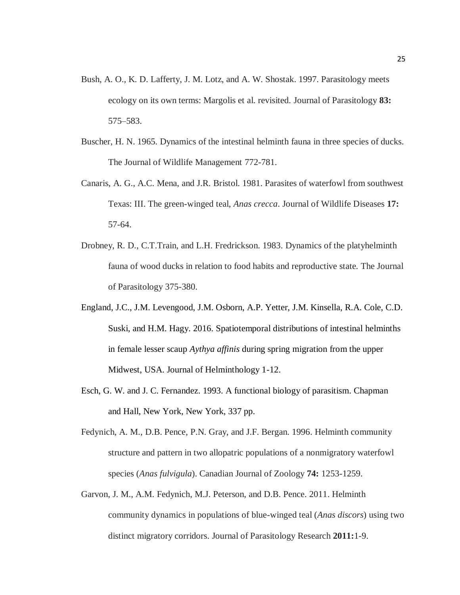- Bush, A. O., K. D. Lafferty, J. M. Lotz, and A. W. Shostak. 1997. Parasitology meets ecology on its own terms: Margolis et al. revisited. Journal of Parasitology **83:** 575–583.
- Buscher, H. N. 1965. Dynamics of the intestinal helminth fauna in three species of ducks. The Journal of Wildlife Management 772-781.
- Canaris, A. G., A.C. Mena, and J.R. Bristol. 1981. Parasites of waterfowl from southwest Texas: III. The green-winged teal, *Anas crecca*. Journal of Wildlife Diseases **17:** 57-64.
- Drobney, R. D., C.T.Train, and L.H. Fredrickson. 1983. Dynamics of the platyhelminth fauna of wood ducks in relation to food habits and reproductive state. The Journal of Parasitology 375-380.
- England, J.C., J.M. Levengood, J.M. Osborn, A.P. Yetter, J.M. Kinsella, R.A. Cole, C.D. Suski, and H.M. Hagy. 2016. Spatiotemporal distributions of intestinal helminths in female lesser scaup *Aythya affinis* during spring migration from the upper Midwest, USA. Journal of Helminthology 1-12.
- Esch, G. W. and J. C. Fernandez. 1993. A functional biology of parasitism. Chapman and Hall, New York, New York, 337 pp.
- Fedynich, A. M., D.B. Pence, P.N. Gray, and J.F. Bergan. 1996. Helminth community structure and pattern in two allopatric populations of a nonmigratory waterfowl species (*Anas fulvigula*). Canadian Journal of Zoology **74:** 1253-1259.
- Garvon, J. M., A.M. Fedynich, M.J. Peterson, and D.B. Pence. 2011. Helminth community dynamics in populations of blue-winged teal (*Anas discors*) using two distinct migratory corridors. Journal of Parasitology Research **2011:**1-9.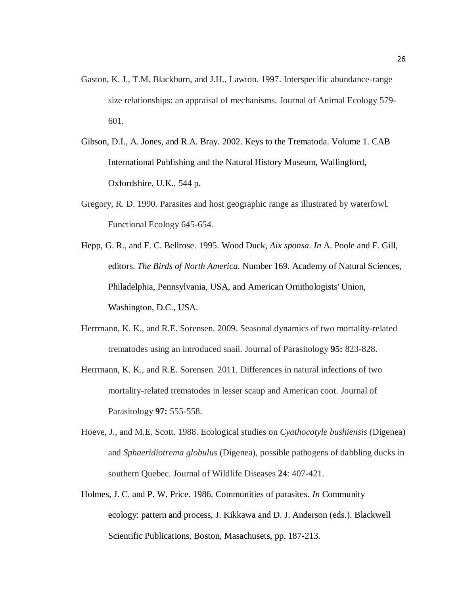- Gaston, K. J., T.M. Blackburn, and J.H., Lawton. 1997. Interspecific abundance-range size relationships: an appraisal of mechanisms. Journal of Animal Ecology 579- 601.
- Gibson, D.I., A. Jones, and R.A. Bray. 2002. Keys to the Trematoda. Volume 1. CAB International Publishing and the Natural History Museum, Wallingford, Oxfordshire, U.K., 544 p.
- Gregory, R. D. 1990. Parasites and host geographic range as illustrated by waterfowl. Functional Ecology 645-654.
- Hepp, G. R., and F. C. Bellrose. 1995. Wood Duck, *Aix sponsa. In* A. Poole and F. Gill, editors. *The Birds of North America.* Number 169. Academy of Natural Sciences, Philadelphia, Pennsylvania, USA, and American Ornithologists' Union, Washington, D.C., USA.
- Herrmann, K. K., and R.E. Sorensen. 2009. Seasonal dynamics of two mortality-related trematodes using an introduced snail. Journal of Parasitology **95:** 823-828.
- Herrmann, K. K., and R.E. Sorensen. 2011. Differences in natural infections of two mortality-related trematodes in lesser scaup and American coot. Journal of Parasitology **97:** 555-558.
- Hoeve, J., and M.E. Scott. 1988. Ecological studies on *Cyathocotyle bushiensis* (Digenea) and *Sphaeridiotrema globulus* (Digenea), possible pathogens of dabbling ducks in southern Quebec. Journal of Wildlife Diseases **24**: 407-421.
- Holmes, J. C. and P. W. Price. 1986. Communities of parasites. *In* Community ecology: pattern and process, J. Kikkawa and D. J. Anderson (eds.). Blackwell Scientific Publications, Boston, Masachusets, pp. 187-213.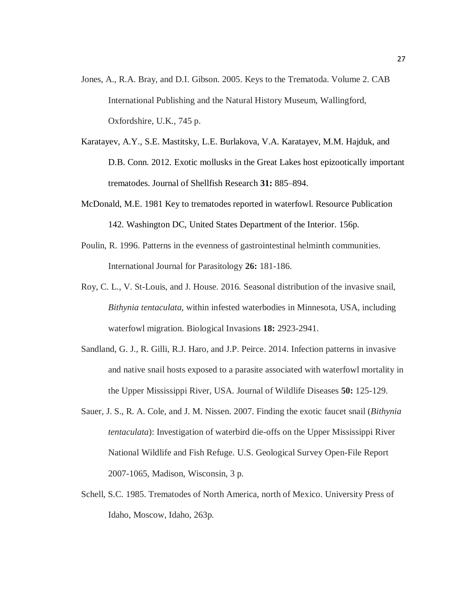- Jones, A., R.A. Bray, and D.I. Gibson. 2005. Keys to the Trematoda. Volume 2. CAB International Publishing and the Natural History Museum, Wallingford, Oxfordshire, U.K., 745 p.
- Karatayev, A.Y., S.E. Mastitsky, L.E. Burlakova, V.A. Karatayev, M.M. Hajduk, and D.B. Conn. 2012. Exotic mollusks in the Great Lakes host epizootically important trematodes. Journal of Shellfish Research **31:** 885–894.
- McDonald, M.E. 1981 Key to trematodes reported in waterfowl. Resource Publication 142. Washington DC, United States Department of the Interior. 156p.
- Poulin, R. 1996. Patterns in the evenness of gastrointestinal helminth communities. International Journal for Parasitology **26:** 181-186.
- Roy, C. L., V. St-Louis, and J. House. 2016. Seasonal distribution of the invasive snail, *Bithynia tentaculata*, within infested waterbodies in Minnesota, USA, including waterfowl migration. Biological Invasions **18:** 2923-2941.
- Sandland, G. J., R. Gilli, R.J. Haro, and J.P. Peirce. 2014. Infection patterns in invasive and native snail hosts exposed to a parasite associated with waterfowl mortality in the Upper Mississippi River, USA. Journal of Wildlife Diseases **50:** 125-129.
- Sauer, J. S., R. A. Cole, and J. M. Nissen. 2007. Finding the exotic faucet snail (*Bithynia tentaculata*): Investigation of waterbird die-offs on the Upper Mississippi River National Wildlife and Fish Refuge. U.S. Geological Survey Open-File Report 2007-1065, Madison, Wisconsin, 3 p.
- Schell, S.C. 1985. Trematodes of North America, north of Mexico. University Press of Idaho, Moscow, Idaho, 263p.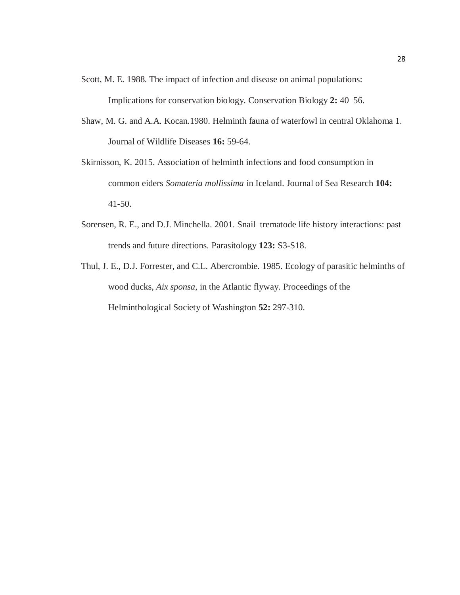- Scott, M. E. 1988. The impact of infection and disease on animal populations: Implications for conservation biology. Conservation Biology **2:** 40–56.
- Shaw, M. G. and A.A. Kocan.1980. Helminth fauna of waterfowl in central Oklahoma 1. Journal of Wildlife Diseases **16:** 59-64.
- Skirnisson, K. 2015. Association of helminth infections and food consumption in common eiders *Somateria mollissima* in Iceland. Journal of Sea Research **104:** 41-50.
- Sorensen, R. E., and D.J. Minchella. 2001. Snail–trematode life history interactions: past trends and future directions. Parasitology **123:** S3-S18.
- Thul, J. E., D.J. Forrester, and C.L. Abercrombie. 1985. Ecology of parasitic helminths of wood ducks, *Aix sponsa*, in the Atlantic flyway. Proceedings of the Helminthological Society of Washington **52:** 297-310.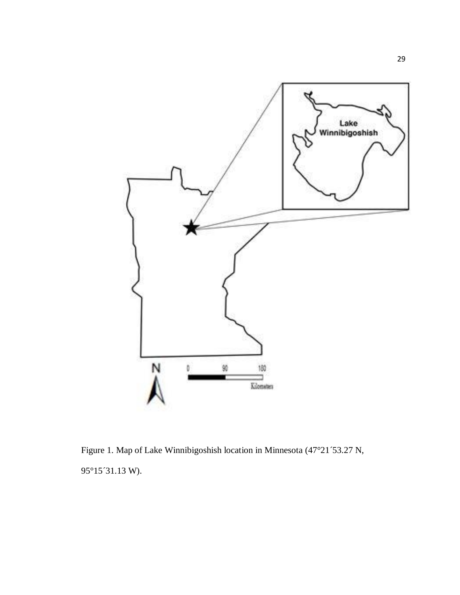

Figure 1. Map of Lake Winnibigoshish location in Minnesota (47°21´53.27 N, 95°15´31.13 W).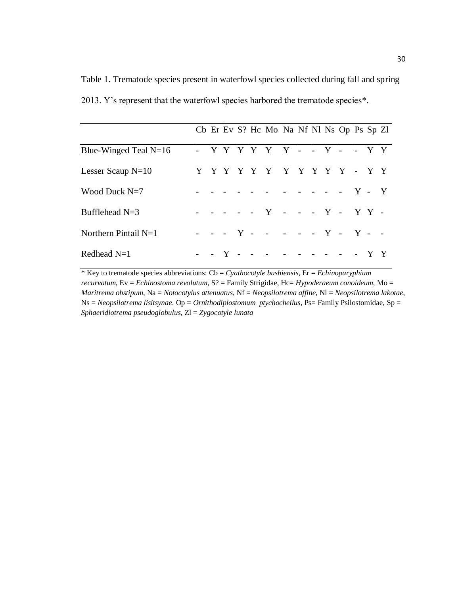Table 1. Trematode species present in waterfowl species collected during fall and spring 2013. Y's represent that the waterfowl species harbored the trematode species\*.

|                         |  |  | Cb Er Ev S? Hc Mo Na Nf Nl Ns Op Ps Sp Zl |  |  |  |  |
|-------------------------|--|--|-------------------------------------------|--|--|--|--|
| Blue-Winged Teal $N=16$ |  |  | - YYYYYYY - - Y - - YY                    |  |  |  |  |
| Lesser Scaup $N=10$     |  |  | Y Y Y Y Y Y Y Y Y Y Y - Y Y               |  |  |  |  |
| Wood Duck $N=7$         |  |  | - - - - - - - - - - - Y - Y               |  |  |  |  |
| Bufflehead $N=3$        |  |  | - - - - - Y - - - Y - Y Y -               |  |  |  |  |
| Northern Pintail $N=1$  |  |  | - - - Y - - - - - Y - Y - -               |  |  |  |  |
| Redhead $N=1$           |  |  | - - Y - - - - - - - - - - Y Y             |  |  |  |  |

\* Key to trematode species abbreviations: Cb = *Cyathocotyle bushiensis*, Er = *Echinoparyphium recurvatum*, Ev = *Echinostoma revolutum*, S? = Family Strigidae, Hc= *Hypoderaeum conoideum*, Mo = *Maritrema obstipum*, Na = *Notocotylus attenuatus*, Nf = *Neopsilotrema affine*, Nl = *Neopsilotrema lakotae*, Ns = *Neopsilotrema lisitsynae*. Op = *Ornithodiplostomum ptychocheilus*, Ps= Family Psilostomidae, Sp = *Sphaeridiotrema pseudoglobulus*, Zl = *Zygocotyle lunata*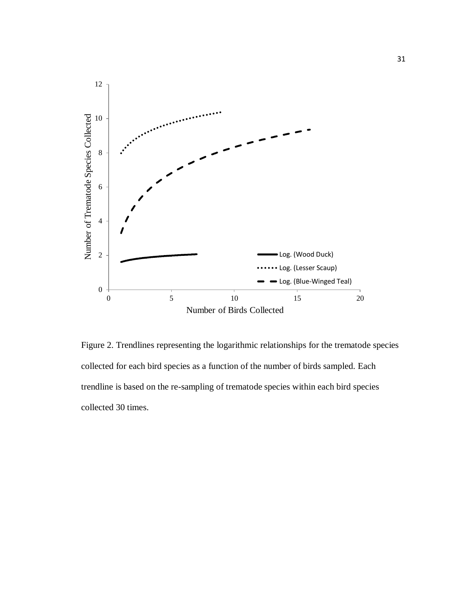

Figure 2. Trendlines representing the logarithmic relationships for the trematode species collected for each bird species as a function of the number of birds sampled. Each trendline is based on the re-sampling of trematode species within each bird species collected 30 times.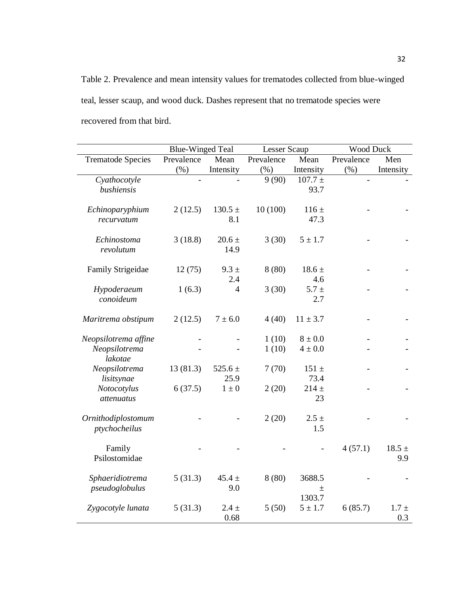Table 2. Prevalence and mean intensity values for trematodes collected from blue-winged teal, lesser scaup, and wood duck. Dashes represent that no trematode species were recovered from that bird.

|                                                  | <b>Blue-Winged Teal</b> |                     | Lesser Scaup   |                            | Wood Duck  |                   |  |  |
|--------------------------------------------------|-------------------------|---------------------|----------------|----------------------------|------------|-------------------|--|--|
| <b>Trematode Species</b>                         | Prevalence              | Mean                | Prevalence     | Mean                       | Prevalence | Men               |  |  |
|                                                  | (% )                    | Intensity           | (% )           | Intensity                  | (%)        | Intensity         |  |  |
| Cyathocotyle<br>bushiensis                       |                         |                     | 9(90)          | $107.7 \pm$<br>93.7        |            |                   |  |  |
| Echinoparyphium<br>recurvatum                    | 2(12.5)                 | $130.5 \pm$<br>8.1  | 10(100)        | $116 \pm$<br>47.3          |            |                   |  |  |
| Echinostoma<br>revolutum                         | 3(18.8)                 | $20.6 \pm$<br>14.9  | 3(30)          | $5 \pm 1.7$                |            |                   |  |  |
| <b>Family Strigeidae</b>                         | 12(75)                  | $9.3 \pm$<br>2.4    | 8(80)          | $18.6 \pm$<br>4.6          |            |                   |  |  |
| Hypoderaeum<br>conoideum                         | 1(6.3)                  | $\overline{4}$      | 3(30)          | $5.7 +$<br>2.7             |            |                   |  |  |
| Maritrema obstipum                               | 2(12.5)                 | $7 \pm 6.0$         | 4(40)          | $11 \pm 3.7$               |            |                   |  |  |
| Neopsilotrema affine<br>Neopsilotrema<br>lakotae |                         |                     | 1(10)<br>1(10) | $8 \pm 0.0$<br>$4 \pm 0.0$ |            |                   |  |  |
| Neopsilotrema<br>lisitsynae                      | 13(81.3)                | 525.6 $\pm$<br>25.9 | 7(70)          | $151 \pm$<br>73.4          |            |                   |  |  |
| Notocotylus<br>attenuatus                        | 6(37.5)                 | $1\pm0$             | 2(20)          | $214 +$<br>23              |            |                   |  |  |
| Ornithodiplostomum<br>ptychocheilus              |                         |                     | 2(20)          | $2.5 +$<br>1.5             |            |                   |  |  |
| Family<br>Psilostomidae                          |                         |                     |                |                            | 4(57.1)    | $18.5 \pm$<br>9.9 |  |  |
| Sphaeridiotrema<br>pseudoglobulus                | 5(31.3)                 | $45.4 \pm$<br>9.0   | 8(80)          | 3688.5<br>$\pm$<br>1303.7  |            |                   |  |  |
| Zygocotyle lunata                                | 5(31.3)                 | $2.4 \pm$<br>0.68   | 5(50)          | $5 \pm 1.7$                | 6(85.7)    | $1.7 +$<br>0.3    |  |  |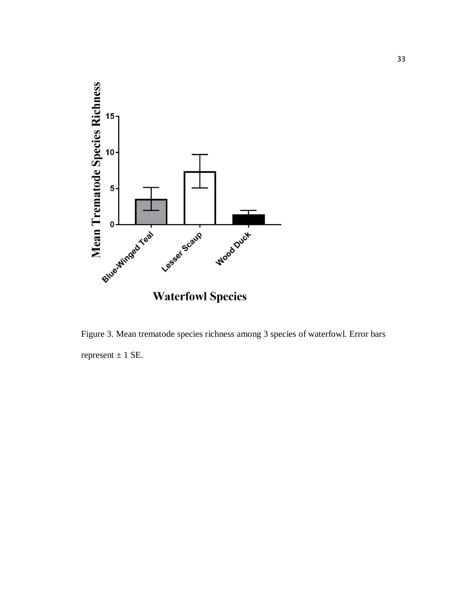

Figure 3. Mean trematode species richness among 3 species of waterfowl. Error bars represent  $\pm$  1 SE.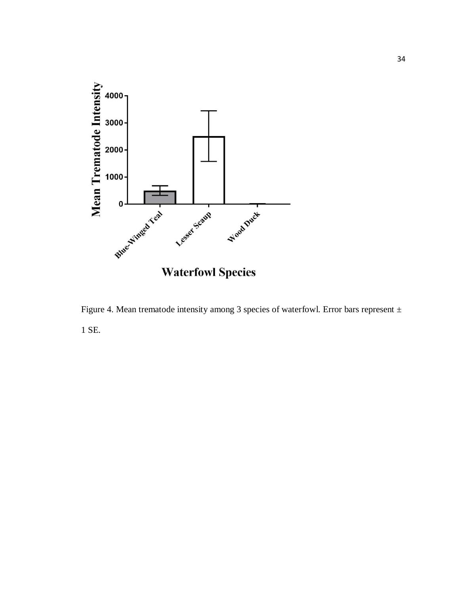

Figure 4. Mean trematode intensity among 3 species of waterfowl. Error bars represent  $\pm$ 1 SE.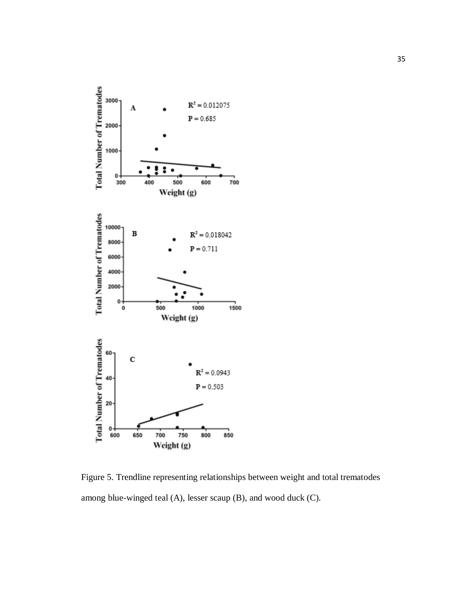

Figure 5. Trendline representing relationships between weight and total trematodes among blue-winged teal (A), lesser scaup (B), and wood duck (C).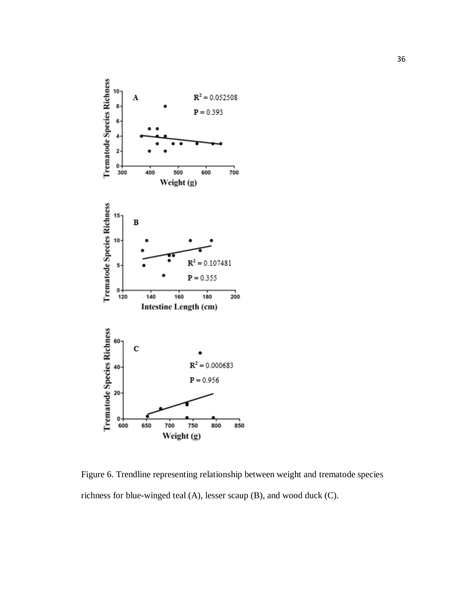

Figure 6. Trendline representing relationship between weight and trematode species richness for blue-winged teal (A), lesser scaup (B), and wood duck (C).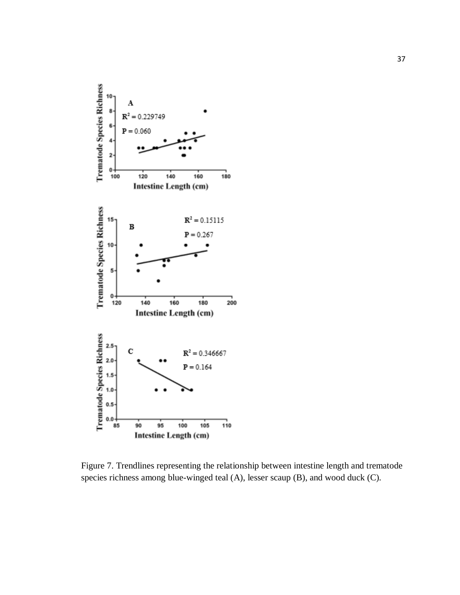

Figure 7. Trendlines representing the relationship between intestine length and trematode species richness among blue-winged teal (A), lesser scaup (B), and wood duck (C).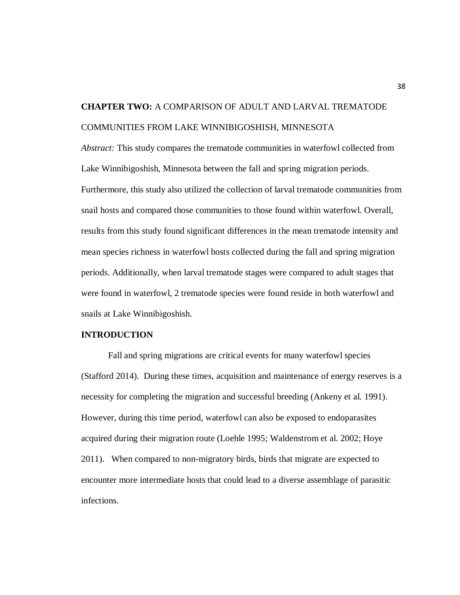# **CHAPTER TWO:** A COMPARISON OF ADULT AND LARVAL TREMATODE COMMUNITIES FROM LAKE WINNIBIGOSHISH, MINNESOTA

*Abstract:* This study compares the trematode communities in waterfowl collected from Lake Winnibigoshish, Minnesota between the fall and spring migration periods. Furthermore, this study also utilized the collection of larval trematode communities from snail hosts and compared those communities to those found within waterfowl. Overall, results from this study found significant differences in the mean trematode intensity and mean species richness in waterfowl hosts collected during the fall and spring migration periods. Additionally, when larval trematode stages were compared to adult stages that were found in waterfowl, 2 trematode species were found reside in both waterfowl and snails at Lake Winnibigoshish.

#### **INTRODUCTION**

Fall and spring migrations are critical events for many waterfowl species (Stafford 2014). During these times, acquisition and maintenance of energy reserves is a necessity for completing the migration and successful breeding (Ankeny et al. 1991). However, during this time period, waterfowl can also be exposed to endoparasites acquired during their migration route (Loehle 1995; Waldenstrom et al. 2002; Hoye 2011). When compared to non-migratory birds, birds that migrate are expected to encounter more intermediate hosts that could lead to a diverse assemblage of parasitic infections.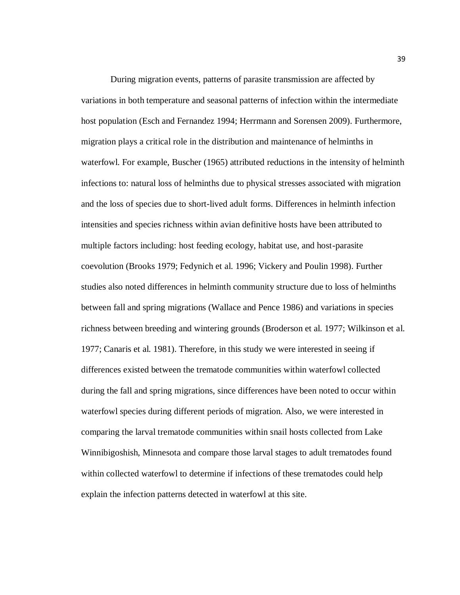During migration events, patterns of parasite transmission are affected by variations in both temperature and seasonal patterns of infection within the intermediate host population (Esch and Fernandez 1994; Herrmann and Sorensen 2009). Furthermore, migration plays a critical role in the distribution and maintenance of helminths in waterfowl. For example, Buscher (1965) attributed reductions in the intensity of helminth infections to: natural loss of helminths due to physical stresses associated with migration and the loss of species due to short-lived adult forms. Differences in helminth infection intensities and species richness within avian definitive hosts have been attributed to multiple factors including: host feeding ecology, habitat use, and host-parasite coevolution (Brooks 1979; Fedynich et al. 1996; Vickery and Poulin 1998). Further studies also noted differences in helminth community structure due to loss of helminths between fall and spring migrations (Wallace and Pence 1986) and variations in species richness between breeding and wintering grounds (Broderson et al. 1977; Wilkinson et al. 1977; Canaris et al. 1981). Therefore, in this study we were interested in seeing if differences existed between the trematode communities within waterfowl collected during the fall and spring migrations, since differences have been noted to occur within waterfowl species during different periods of migration. Also, we were interested in comparing the larval trematode communities within snail hosts collected from Lake Winnibigoshish, Minnesota and compare those larval stages to adult trematodes found within collected waterfowl to determine if infections of these trematodes could help explain the infection patterns detected in waterfowl at this site.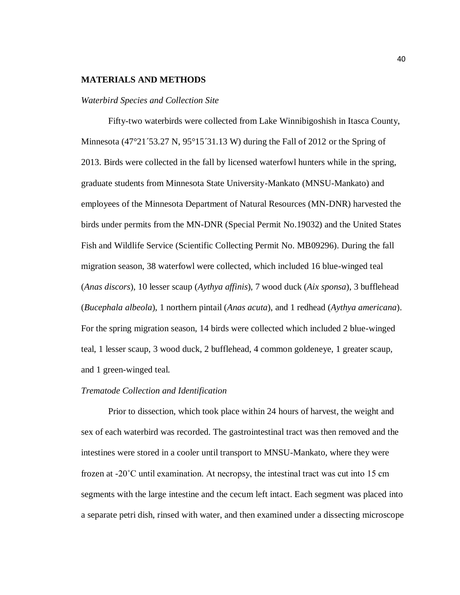#### **MATERIALS AND METHODS**

#### *Waterbird Species and Collection Site*

Fifty-two waterbirds were collected from Lake Winnibigoshish in Itasca County, Minnesota (47°21´53.27 N,  $95^{\circ}15^{\circ}31.13$  W) during the Fall of 2012 or the Spring of 2013. Birds were collected in the fall by licensed waterfowl hunters while in the spring, graduate students from Minnesota State University-Mankato (MNSU-Mankato) and employees of the Minnesota Department of Natural Resources (MN-DNR) harvested the birds under permits from the MN-DNR (Special Permit No.19032) and the United States Fish and Wildlife Service (Scientific Collecting Permit No. MB09296). During the fall migration season, 38 waterfowl were collected, which included 16 blue-winged teal (*Anas discors*), 10 lesser scaup (*Aythya affinis*), 7 wood duck (*Aix sponsa*), 3 bufflehead (*Bucephala albeola*), 1 northern pintail (*Anas acuta*), and 1 redhead (*Aythya americana*). For the spring migration season, 14 birds were collected which included 2 blue-winged teal, 1 lesser scaup, 3 wood duck, 2 bufflehead, 4 common goldeneye, 1 greater scaup, and 1 green-winged teal.

#### *Trematode Collection and Identification*

Prior to dissection, which took place within 24 hours of harvest, the weight and sex of each waterbird was recorded. The gastrointestinal tract was then removed and the intestines were stored in a cooler until transport to MNSU-Mankato, where they were frozen at  $-20^{\circ}$ C until examination. At necropsy, the intestinal tract was cut into 15 cm segments with the large intestine and the cecum left intact. Each segment was placed into a separate petri dish, rinsed with water, and then examined under a dissecting microscope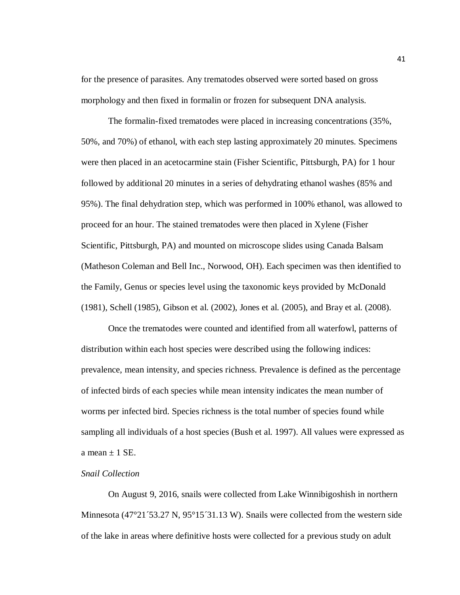for the presence of parasites. Any trematodes observed were sorted based on gross morphology and then fixed in formalin or frozen for subsequent DNA analysis.

The formalin-fixed trematodes were placed in increasing concentrations (35%, 50%, and 70%) of ethanol, with each step lasting approximately 20 minutes. Specimens were then placed in an acetocarmine stain (Fisher Scientific, Pittsburgh, PA) for 1 hour followed by additional 20 minutes in a series of dehydrating ethanol washes (85% and 95%). The final dehydration step, which was performed in 100% ethanol, was allowed to proceed for an hour. The stained trematodes were then placed in Xylene (Fisher Scientific, Pittsburgh, PA) and mounted on microscope slides using Canada Balsam (Matheson Coleman and Bell Inc., Norwood, OH). Each specimen was then identified to the Family, Genus or species level using the taxonomic keys provided by McDonald (1981), Schell (1985), Gibson et al. (2002), Jones et al. (2005), and Bray et al. (2008).

Once the trematodes were counted and identified from all waterfowl, patterns of distribution within each host species were described using the following indices: prevalence, mean intensity, and species richness. Prevalence is defined as the percentage of infected birds of each species while mean intensity indicates the mean number of worms per infected bird. Species richness is the total number of species found while sampling all individuals of a host species (Bush et al. 1997). All values were expressed as a mean  $\pm$  1 SE.

#### *Snail Collection*

On August 9, 2016, snails were collected from Lake Winnibigoshish in northern Minnesota (47°21´53.27 N, 95°15´31.13 W). Snails were collected from the western side of the lake in areas where definitive hosts were collected for a previous study on adult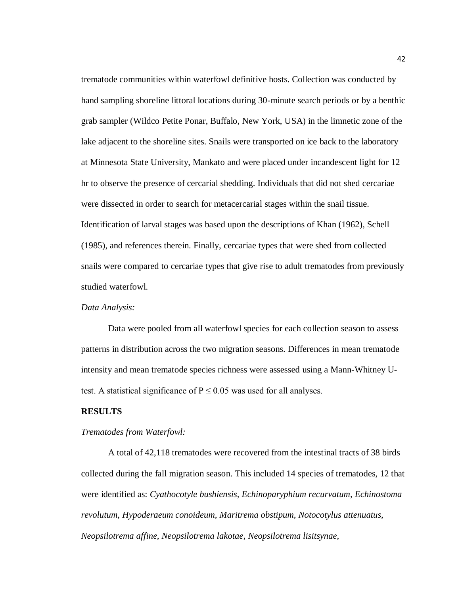trematode communities within waterfowl definitive hosts. Collection was conducted by hand sampling shoreline littoral locations during 30-minute search periods or by a benthic grab sampler (Wildco Petite Ponar, Buffalo, New York, USA) in the limnetic zone of the lake adjacent to the shoreline sites. Snails were transported on ice back to the laboratory at Minnesota State University, Mankato and were placed under incandescent light for 12 hr to observe the presence of cercarial shedding. Individuals that did not shed cercariae were dissected in order to search for metacercarial stages within the snail tissue. Identification of larval stages was based upon the descriptions of Khan (1962), Schell (1985), and references therein. Finally, cercariae types that were shed from collected snails were compared to cercariae types that give rise to adult trematodes from previously studied waterfowl.

#### *Data Analysis:*

Data were pooled from all waterfowl species for each collection season to assess patterns in distribution across the two migration seasons. Differences in mean trematode intensity and mean trematode species richness were assessed using a Mann-Whitney Utest. A statistical significance of  $P \le 0.05$  was used for all analyses.

#### **RESULTS**

#### *Trematodes from Waterfowl:*

A total of 42,118 trematodes were recovered from the intestinal tracts of 38 birds collected during the fall migration season. This included 14 species of trematodes, 12 that were identified as: *Cyathocotyle bushiensis, Echinoparyphium recurvatum, Echinostoma revolutum, Hypoderaeum conoideum, Maritrema obstipum, Notocotylus attenuatus, Neopsilotrema affine, Neopsilotrema lakotae, Neopsilotrema lisitsynae,*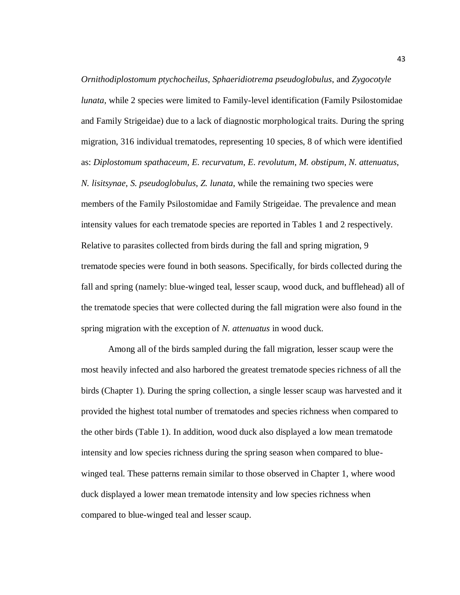*Ornithodiplostomum ptychocheilus, Sphaeridiotrema pseudoglobulus*, and *Zygocotyle lunata*, while 2 species were limited to Family-level identification (Family Psilostomidae and Family Strigeidae) due to a lack of diagnostic morphological traits. During the spring migration, 316 individual trematodes, representing 10 species, 8 of which were identified as: *Diplostomum spathaceum*, *E. recurvatum*, *E. revolutum*, *M. obstipum*, *N. attenuatus*, *N. lisitsynae*, *S. pseudoglobulus*, *Z. lunata*, while the remaining two species were members of the Family Psilostomidae and Family Strigeidae. The prevalence and mean intensity values for each trematode species are reported in Tables 1 and 2 respectively. Relative to parasites collected from birds during the fall and spring migration, 9 trematode species were found in both seasons. Specifically, for birds collected during the fall and spring (namely: blue-winged teal, lesser scaup, wood duck, and bufflehead) all of the trematode species that were collected during the fall migration were also found in the spring migration with the exception of *N. attenuatus* in wood duck.

Among all of the birds sampled during the fall migration, lesser scaup were the most heavily infected and also harbored the greatest trematode species richness of all the birds (Chapter 1). During the spring collection, a single lesser scaup was harvested and it provided the highest total number of trematodes and species richness when compared to the other birds (Table 1). In addition, wood duck also displayed a low mean trematode intensity and low species richness during the spring season when compared to bluewinged teal. These patterns remain similar to those observed in Chapter 1, where wood duck displayed a lower mean trematode intensity and low species richness when compared to blue-winged teal and lesser scaup.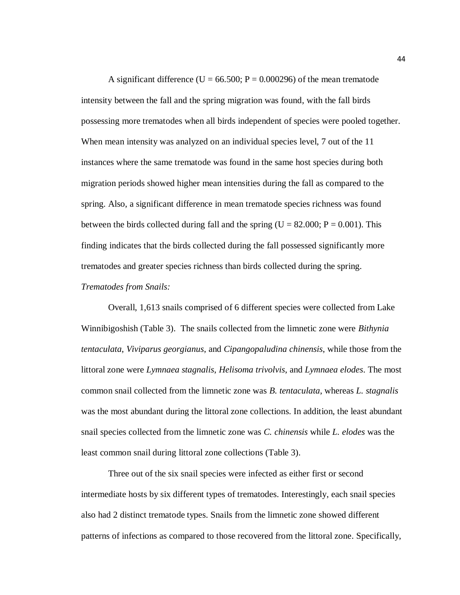A significant difference ( $U = 66.500$ ;  $P = 0.000296$ ) of the mean trematode intensity between the fall and the spring migration was found, with the fall birds possessing more trematodes when all birds independent of species were pooled together. When mean intensity was analyzed on an individual species level, 7 out of the 11 instances where the same trematode was found in the same host species during both migration periods showed higher mean intensities during the fall as compared to the spring. Also, a significant difference in mean trematode species richness was found between the birds collected during fall and the spring ( $U = 82.000$ ;  $P = 0.001$ ). This finding indicates that the birds collected during the fall possessed significantly more trematodes and greater species richness than birds collected during the spring. *Trematodes from Snails:*

Overall, 1,613 snails comprised of 6 different species were collected from Lake Winnibigoshish (Table 3). The snails collected from the limnetic zone were *Bithynia tentaculata*, *Viviparus georgianus*, and *Cipangopaludina chinensis*, while those from the littoral zone were *Lymnaea stagnalis*, *Helisoma trivolvis*, and *Lymnaea elodes*. The most common snail collected from the limnetic zone was *B. tentaculata*, whereas *L. stagnalis* was the most abundant during the littoral zone collections. In addition, the least abundant snail species collected from the limnetic zone was *C. chinensis* while *L. elodes* was the least common snail during littoral zone collections (Table 3).

Three out of the six snail species were infected as either first or second intermediate hosts by six different types of trematodes. Interestingly, each snail species also had 2 distinct trematode types. Snails from the limnetic zone showed different patterns of infections as compared to those recovered from the littoral zone. Specifically,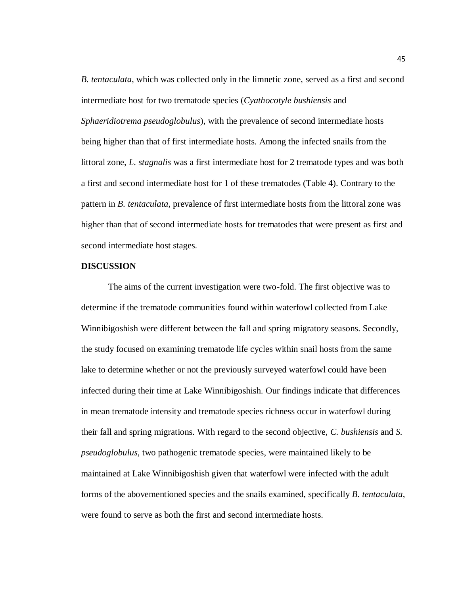*B. tentaculata*, which was collected only in the limnetic zone, served as a first and second intermediate host for two trematode species (*Cyathocotyle bushiensis* and *Sphaeridiotrema pseudoglobulus*), with the prevalence of second intermediate hosts being higher than that of first intermediate hosts. Among the infected snails from the littoral zone, *L. stagnalis* was a first intermediate host for 2 trematode types and was both a first and second intermediate host for 1 of these trematodes (Table 4). Contrary to the pattern in *B. tentaculata*, prevalence of first intermediate hosts from the littoral zone was higher than that of second intermediate hosts for trematodes that were present as first and second intermediate host stages.

#### **DISCUSSION**

The aims of the current investigation were two-fold. The first objective was to determine if the trematode communities found within waterfowl collected from Lake Winnibigoshish were different between the fall and spring migratory seasons. Secondly, the study focused on examining trematode life cycles within snail hosts from the same lake to determine whether or not the previously surveyed waterfowl could have been infected during their time at Lake Winnibigoshish. Our findings indicate that differences in mean trematode intensity and trematode species richness occur in waterfowl during their fall and spring migrations. With regard to the second objective, *C. bushiensis* and *S. pseudoglobulus*, two pathogenic trematode species, were maintained likely to be maintained at Lake Winnibigoshish given that waterfowl were infected with the adult forms of the abovementioned species and the snails examined, specifically *B. tentaculata*, were found to serve as both the first and second intermediate hosts.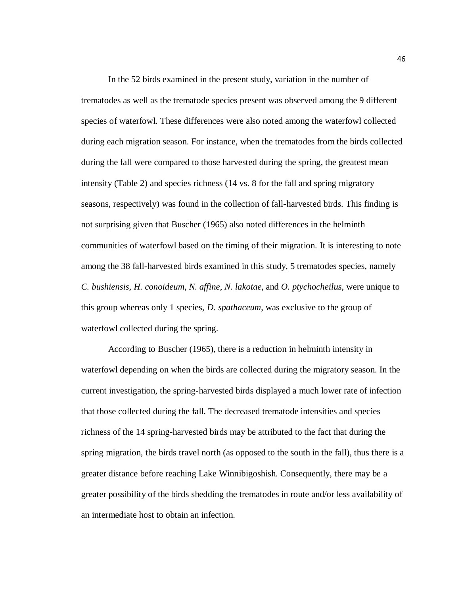In the 52 birds examined in the present study, variation in the number of trematodes as well as the trematode species present was observed among the 9 different species of waterfowl. These differences were also noted among the waterfowl collected during each migration season. For instance, when the trematodes from the birds collected during the fall were compared to those harvested during the spring, the greatest mean intensity (Table 2) and species richness (14 vs. 8 for the fall and spring migratory seasons, respectively) was found in the collection of fall-harvested birds. This finding is not surprising given that Buscher (1965) also noted differences in the helminth communities of waterfowl based on the timing of their migration. It is interesting to note among the 38 fall-harvested birds examined in this study, 5 trematodes species, namely *C. bushiensis, H. conoideum*, *N. affine*, *N. lakotae*, and *O. ptychocheilus*, were unique to this group whereas only 1 species, *D. spathaceum*, was exclusive to the group of waterfowl collected during the spring.

According to Buscher (1965), there is a reduction in helminth intensity in waterfowl depending on when the birds are collected during the migratory season. In the current investigation, the spring-harvested birds displayed a much lower rate of infection that those collected during the fall. The decreased trematode intensities and species richness of the 14 spring-harvested birds may be attributed to the fact that during the spring migration, the birds travel north (as opposed to the south in the fall), thus there is a greater distance before reaching Lake Winnibigoshish. Consequently, there may be a greater possibility of the birds shedding the trematodes in route and/or less availability of an intermediate host to obtain an infection.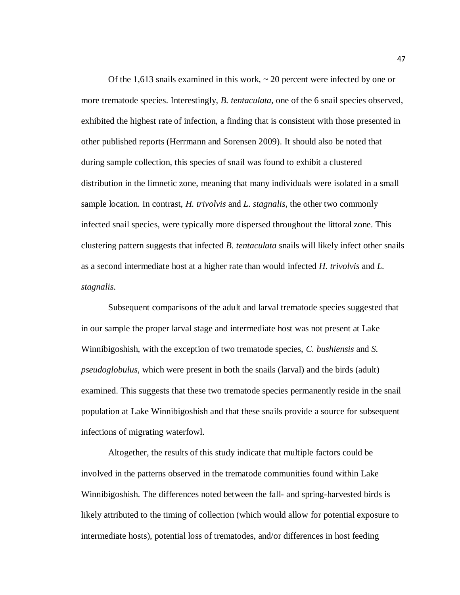Of the 1,613 snails examined in this work,  $\sim$  20 percent were infected by one or more trematode species. Interestingly, *B. tentaculata,* one of the 6 snail species observed, exhibited the highest rate of infection, a finding that is consistent with those presented in other published reports (Herrmann and Sorensen 2009). It should also be noted that during sample collection, this species of snail was found to exhibit a clustered distribution in the limnetic zone, meaning that many individuals were isolated in a small sample location. In contrast, *H. trivolvis* and *L. stagnalis*, the other two commonly infected snail species, were typically more dispersed throughout the littoral zone. This clustering pattern suggests that infected *B. tentaculata* snails will likely infect other snails as a second intermediate host at a higher rate than would infected *H. trivolvis* and *L. stagnalis*.

Subsequent comparisons of the adult and larval trematode species suggested that in our sample the proper larval stage and intermediate host was not present at Lake Winnibigoshish, with the exception of two trematode species, *C. bushiensis* and *S. pseudoglobulus*, which were present in both the snails (larval) and the birds (adult) examined. This suggests that these two trematode species permanently reside in the snail population at Lake Winnibigoshish and that these snails provide a source for subsequent infections of migrating waterfowl.

Altogether, the results of this study indicate that multiple factors could be involved in the patterns observed in the trematode communities found within Lake Winnibigoshish. The differences noted between the fall- and spring-harvested birds is likely attributed to the timing of collection (which would allow for potential exposure to intermediate hosts), potential loss of trematodes, and/or differences in host feeding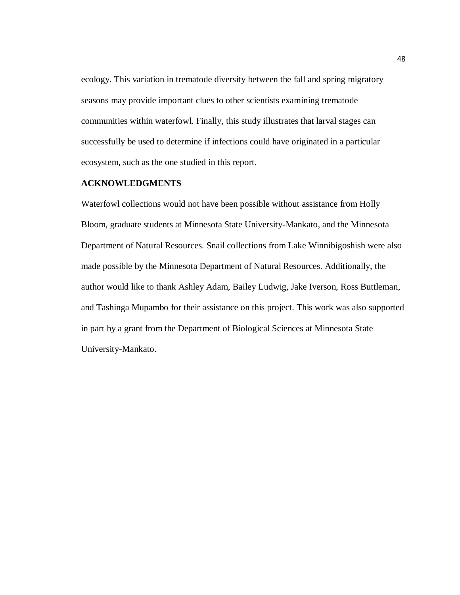ecology. This variation in trematode diversity between the fall and spring migratory seasons may provide important clues to other scientists examining trematode communities within waterfowl. Finally, this study illustrates that larval stages can successfully be used to determine if infections could have originated in a particular ecosystem, such as the one studied in this report.

#### **ACKNOWLEDGMENTS**

Waterfowl collections would not have been possible without assistance from Holly Bloom, graduate students at Minnesota State University-Mankato, and the Minnesota Department of Natural Resources. Snail collections from Lake Winnibigoshish were also made possible by the Minnesota Department of Natural Resources. Additionally, the author would like to thank Ashley Adam, Bailey Ludwig, Jake Iverson, Ross Buttleman, and Tashinga Mupambo for their assistance on this project. This work was also supported in part by a grant from the Department of Biological Sciences at Minnesota State University-Mankato.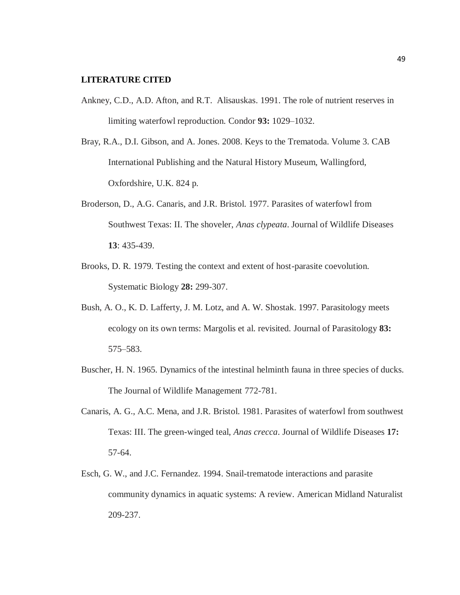#### **LITERATURE CITED**

- Ankney, C.D., A.D. Afton, and R.T. Alisauskas. 1991. The role of nutrient reserves in limiting waterfowl reproduction. Condor **93:** 1029–1032.
- Bray, R.A., D.I. Gibson, and A. Jones. 2008. Keys to the Trematoda. Volume 3. CAB International Publishing and the Natural History Museum, Wallingford, Oxfordshire, U.K. 824 p.
- Broderson, D., A.G. Canaris, and J.R. Bristol. 1977. Parasites of waterfowl from Southwest Texas: II. The shoveler, *Anas clypeata*. Journal of Wildlife Diseases **13**: 435-439.
- Brooks, D. R. 1979. Testing the context and extent of host-parasite coevolution. Systematic Biology **28:** 299-307.
- Bush, A. O., K. D. Lafferty, J. M. Lotz, and A. W. Shostak. 1997. Parasitology meets ecology on its own terms: Margolis et al. revisited. Journal of Parasitology **83:** 575–583.
- Buscher, H. N. 1965. Dynamics of the intestinal helminth fauna in three species of ducks. The Journal of Wildlife Management 772-781.
- Canaris, A. G., A.C. Mena, and J.R. Bristol. 1981. Parasites of waterfowl from southwest Texas: III. The green-winged teal, *Anas crecca*. Journal of Wildlife Diseases **17:** 57-64.
- Esch, G. W., and J.C. Fernandez. 1994. Snail-trematode interactions and parasite community dynamics in aquatic systems: A review. American Midland Naturalist 209-237.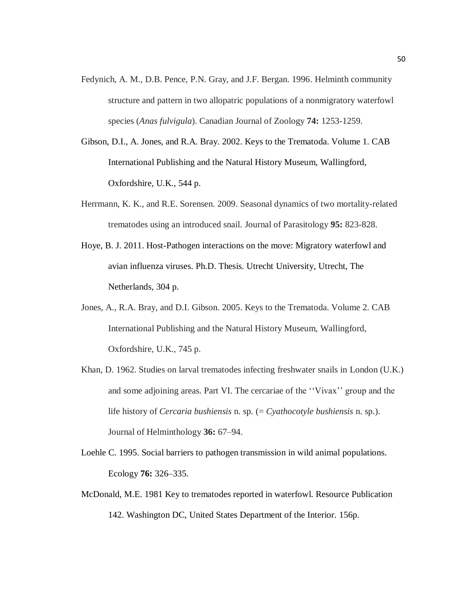- Fedynich, A. M., D.B. Pence, P.N. Gray, and J.F. Bergan. 1996. Helminth community structure and pattern in two allopatric populations of a nonmigratory waterfowl species (*Anas fulvigula*). Canadian Journal of Zoology **74:** 1253-1259.
- Gibson, D.I., A. Jones, and R.A. Bray. 2002. Keys to the Trematoda. Volume 1. CAB International Publishing and the Natural History Museum, Wallingford, Oxfordshire, U.K., 544 p.
- Herrmann, K. K., and R.E. Sorensen. 2009. Seasonal dynamics of two mortality-related trematodes using an introduced snail. Journal of Parasitology **95:** 823-828.
- Hoye, B. J. 2011. Host-Pathogen interactions on the move: Migratory waterfowl and avian influenza viruses. Ph.D. Thesis. Utrecht University, Utrecht, The Netherlands, 304 p.
- Jones, A., R.A. Bray, and D.I. Gibson. 2005. Keys to the Trematoda. Volume 2. CAB International Publishing and the Natural History Museum, Wallingford, Oxfordshire, U.K., 745 p.
- Khan, D. 1962. Studies on larval trematodes infecting freshwater snails in London (U.K.) and some adjoining areas. Part VI. The cercariae of the ''Vivax'' group and the life history of *Cercaria bushiensis* n. sp. (= *Cyathocotyle bushiensis* n. sp.). Journal of Helminthology **36:** 67–94.
- Loehle C. 1995. Social barriers to pathogen transmission in wild animal populations. Ecology **76:** 326–335.
- McDonald, M.E. 1981 Key to trematodes reported in waterfowl. Resource Publication 142. Washington DC, United States Department of the Interior. 156p.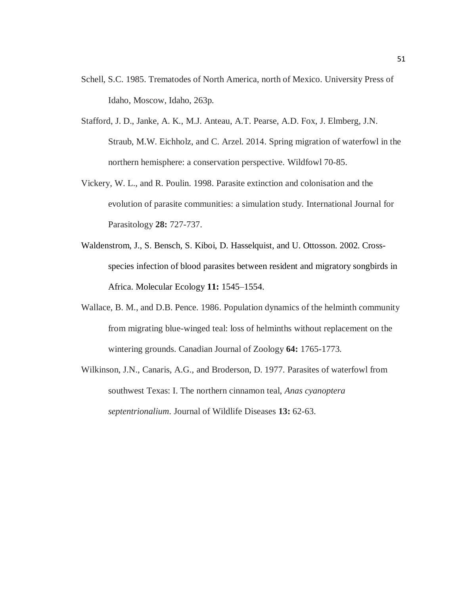- Schell, S.C. 1985. Trematodes of North America, north of Mexico. University Press of Idaho, Moscow, Idaho, 263p.
- Stafford, J. D., Janke, A. K., M.J. Anteau, A.T. Pearse, A.D. Fox, J. Elmberg, J.N. Straub, M.W. Eichholz, and C. Arzel. 2014. Spring migration of waterfowl in the northern hemisphere: a conservation perspective. Wildfowl 70-85.
- Vickery, W. L., and R. Poulin. 1998. Parasite extinction and colonisation and the evolution of parasite communities: a simulation study. International Journal for Parasitology **28:** 727-737.
- Waldenstrom, J., S. Bensch, S. Kiboi, D. Hasselquist, and U. Ottosson. 2002. Crossspecies infection of blood parasites between resident and migratory songbirds in Africa. Molecular Ecology **11:** 1545–1554.
- Wallace, B. M., and D.B. Pence. 1986. Population dynamics of the helminth community from migrating blue-winged teal: loss of helminths without replacement on the wintering grounds. Canadian Journal of Zoology **64:** 1765-1773.
- Wilkinson, J.N., Canaris, A.G., and Broderson, D. 1977. Parasites of waterfowl from southwest Texas: I. The northern cinnamon teal, *Anas cyanoptera septentrionalium*. Journal of Wildlife Diseases **13:** 62-63.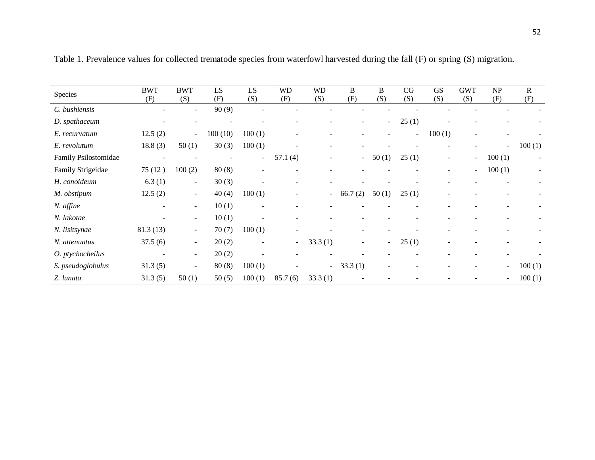| Species              | <b>BWT</b><br>(F)        | <b>BWT</b><br>(S)        | LS<br>(F) | LS<br>(S)                | <b>WD</b><br>(F)         | <b>WD</b><br>(S)         | B<br>(F)                 | B<br>(S) | CG<br>(S) | <b>GS</b><br>(S) | <b>GWT</b><br>(S)        | <b>NP</b><br>(F)         | $\mathbb{R}$<br>(F)      |
|----------------------|--------------------------|--------------------------|-----------|--------------------------|--------------------------|--------------------------|--------------------------|----------|-----------|------------------|--------------------------|--------------------------|--------------------------|
| C. bushiensis        |                          |                          | 90(9)     |                          |                          |                          |                          |          |           |                  |                          |                          |                          |
| D. spathaceum        | $\overline{\phantom{a}}$ |                          |           |                          |                          |                          |                          | $\sim$   | 25(1)     |                  |                          |                          |                          |
| E. recurvatum        | 12.5(2)                  | $\sim$                   | 100(10)   | 100(1)                   | $\overline{\phantom{a}}$ | ٠                        |                          |          | Ξ.        | 100(1)           | $\overline{\phantom{a}}$ | $\overline{\phantom{0}}$ | $\overline{\phantom{0}}$ |
| E. revolutum         | 18.8(3)                  | 50(1)                    | 30(3)     | 100(1)                   |                          | $\overline{a}$           |                          |          |           |                  |                          | $\blacksquare$           | 100(1)                   |
| Family Psilostomidae |                          |                          |           |                          | 57.1(4)                  |                          | $\sim$                   | 50(1)    | 25(1)     | $\overline{a}$   | $\overline{\phantom{a}}$ | 100(1)                   |                          |
| Family Strigeidae    | 75(12)                   | 100(2)                   | 80(8)     |                          |                          |                          |                          |          |           |                  | $\sim$                   | 100(1)                   |                          |
| H. conoideum         | 6.3(1)                   | $\overline{\phantom{a}}$ | 30(3)     |                          |                          |                          |                          |          |           |                  |                          |                          |                          |
| M. obstipum          | 12.5(2)                  | $\sim$                   | 40(4)     | 100(1)                   |                          | $\overline{\phantom{0}}$ | 66.7<br>(2)              | 50(1)    | 25(1)     |                  |                          |                          |                          |
| N. affine            | $\overline{\phantom{a}}$ | $\sim$                   | 10(1)     |                          |                          |                          |                          |          |           |                  |                          |                          |                          |
| N. lakotae           |                          | $\sim$                   | 10(1)     |                          |                          |                          |                          |          |           |                  |                          |                          |                          |
| N. lisitsynae        | 81.3(13)                 | $\overline{\phantom{a}}$ | 70(7)     | 100(1)                   |                          |                          |                          |          |           |                  |                          |                          |                          |
| N. attenuatus        | 37.5(6)                  | $\overline{\phantom{a}}$ | 20(2)     | $\overline{\phantom{a}}$ | $\sim$                   | 33.3(1)                  | $\overline{\phantom{0}}$ | $\sim$   | 25(1)     |                  |                          | ۰                        |                          |
| O. ptychocheilus     | $\overline{\phantom{a}}$ | $\sim$                   | 20(2)     |                          |                          |                          |                          |          |           |                  |                          |                          |                          |
| S. pseudoglobulus    | 31.3(5)                  | $\overline{\phantom{a}}$ | 80(8)     | 100(1)                   |                          | $\overline{\phantom{0}}$ | 33.3(1)                  |          |           |                  |                          | $\blacksquare$           | 100(1)                   |
| Z. lunata            | 31.3(5)                  | 50(1)                    | 50(5)     | 100(1)                   | 85.7(6)                  | 33.3(1)                  |                          |          |           |                  |                          | $\blacksquare$           | 100(1)                   |

Table 1. Prevalence values for collected trematode species from waterfowl harvested during the fall (F) or spring (S) migration.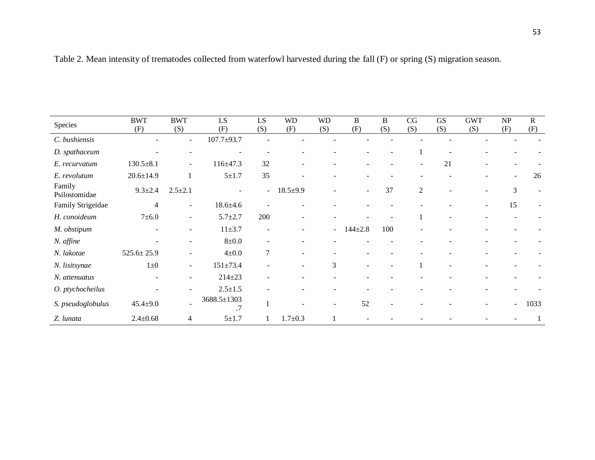| Species                 | <b>BWT</b><br>(F) | <b>BWT</b><br>(S)        | LS<br>(F)         | LS<br>(S)                | <b>WD</b><br>(F)  | <b>WD</b><br>(S) | $\, {\bf B}$<br>(F)      | $\, {\bf B}$<br>(S) | CG<br>(S)                | <b>GS</b><br>(S) | <b>GWT</b><br>(S) | $\ensuremath{\mathbf{NP}}\xspace$<br>(F) | ${\bf R}$<br>(F) |
|-------------------------|-------------------|--------------------------|-------------------|--------------------------|-------------------|------------------|--------------------------|---------------------|--------------------------|------------------|-------------------|------------------------------------------|------------------|
| C. bushiensis           |                   | $\sim$                   | $107.7 + 93.7$    |                          |                   |                  |                          |                     |                          |                  |                   |                                          |                  |
| D. spathaceum           |                   |                          |                   |                          |                   |                  |                          |                     | 1                        |                  |                   |                                          |                  |
| E. recurvatum           | $130.5 + 8.1$     | $\sim$                   | $116 \pm 47.3$    | 32                       |                   |                  |                          |                     | $\overline{\phantom{a}}$ | 21               |                   |                                          |                  |
| E. revolutum            | $20.6 \pm 14.9$   |                          | $5 + 1.7$         | 35                       |                   |                  |                          |                     |                          |                  |                   | $\sim$                                   | 26               |
| Family<br>Psilostomidae | $9.3 \pm 2.4$     | $2.5 \pm 2.1$            |                   | $\sim$                   | $18.5 \pm 9.9$    |                  |                          | 37                  | 2                        |                  |                   | 3                                        |                  |
| Family Strigeidae       | $\overline{4}$    | $\sim$                   | $18.6 \pm 4.6$    |                          |                   |                  |                          |                     |                          |                  | $\blacksquare$    | 15                                       |                  |
| H. conoideum            | $7 + 6.0$         | $\overline{\phantom{a}}$ | $5.7 + 2.7$       | 200                      | $\qquad \qquad -$ |                  |                          |                     | 1                        |                  |                   |                                          |                  |
| M. obstipum             |                   |                          | $11 + 3.7$        |                          |                   | $\sim$           | $144 + 2.8$              | 100                 |                          |                  |                   |                                          |                  |
| N. affine               |                   |                          | $8\pm0.0$         | $\overline{\phantom{0}}$ |                   |                  |                          |                     |                          |                  |                   |                                          |                  |
| N. lakotae              | $525.6 \pm 25.9$  |                          | $4\pm0.0$         | $\tau$                   | $\blacksquare$    |                  |                          |                     |                          |                  |                   |                                          |                  |
| N. lisitsynae           | $1\pm 0$          | $\sim$                   | $151 \pm 73.4$    |                          | $\blacksquare$    | 3                | $\overline{\phantom{a}}$ |                     |                          |                  |                   |                                          |                  |
| N. attenuatus           |                   |                          | $214 \pm 23$      |                          |                   |                  |                          |                     |                          |                  |                   |                                          |                  |
| O. ptychocheilus        |                   |                          | $2.5 \pm 1.5$     |                          |                   |                  |                          |                     |                          |                  |                   |                                          |                  |
| S. pseudoglobulus       | $45.4 \pm 9.0$    |                          | 3688.5±1303<br>.7 |                          |                   |                  | 52                       |                     |                          |                  |                   | $\overline{\phantom{0}}$                 | 1033             |
| Z. lunata               | $2.4 \pm 0.68$    | 4                        | $5 + 1.7$         |                          | $1.7 + 0.3$       |                  |                          |                     |                          |                  |                   |                                          |                  |

## Table 2. Mean intensity of trematodes collected from waterfowl harvested during the fall (F) or spring (S) migration season.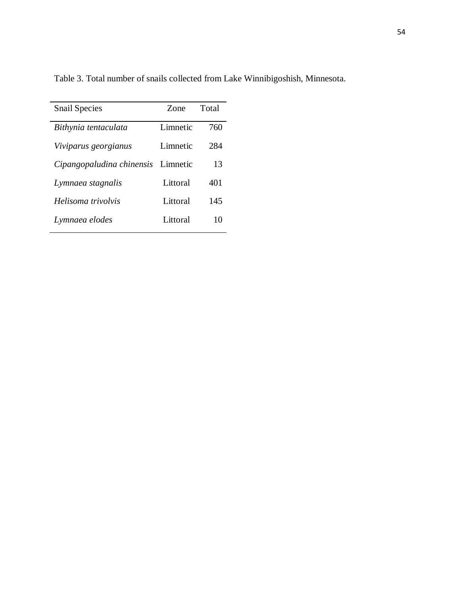| <b>Snail Species</b>               | Zone     | Total |
|------------------------------------|----------|-------|
| Bithynia tentaculata               | Limnetic | 760   |
| Viviparus georgianus               | Limnetic | 284   |
| Cipangopaludina chinensis Limnetic |          | 13    |
| Lymnaea stagnalis                  | Littoral | 401   |
| Helisoma trivolvis                 | Littoral | 145   |
| Lymnaea elodes                     | Littoral | 10    |

Table 3. Total number of snails collected from Lake Winnibigoshish, Minnesota.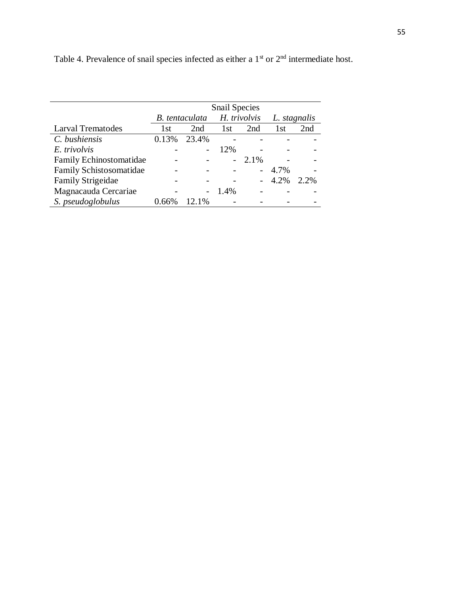|                          | <b>Snail Species</b> |                       |              |                          |              |         |  |  |  |
|--------------------------|----------------------|-----------------------|--------------|--------------------------|--------------|---------|--|--|--|
|                          |                      | <b>B.</b> tentaculata | H. trivolvis |                          | L. stagnalis |         |  |  |  |
| <b>Larval Trematodes</b> | 1st                  | 2nd                   | 1st          | 2nd                      | 1st          | 2nd     |  |  |  |
| C. bushiensis            | 0.13%                | 23.4%                 |              |                          |              |         |  |  |  |
| E. trivolvis             |                      |                       | 12%          |                          |              |         |  |  |  |
| Family Echinostomatidae  |                      |                       |              | 2.1%                     |              |         |  |  |  |
| Family Schistosomatidae  |                      |                       |              | $\overline{\phantom{0}}$ | 4.7%         |         |  |  |  |
| <b>Family Strigeidae</b> |                      |                       |              |                          | 4.2%         | $2.2\%$ |  |  |  |
| Magnacauda Cercariae     |                      |                       | 1.4%         |                          |              |         |  |  |  |
| S. pseudoglobulus        | በ 66%                | 12.1%                 |              |                          |              |         |  |  |  |

Table 4. Prevalence of snail species infected as either a  $1<sup>st</sup>$  or  $2<sup>nd</sup>$  intermediate host.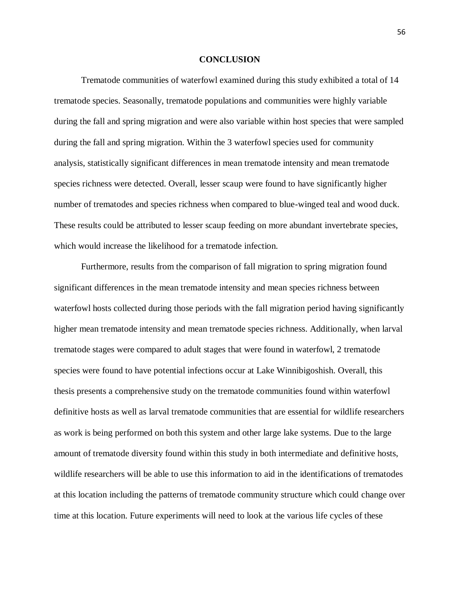#### **CONCLUSION**

Trematode communities of waterfowl examined during this study exhibited a total of 14 trematode species. Seasonally, trematode populations and communities were highly variable during the fall and spring migration and were also variable within host species that were sampled during the fall and spring migration. Within the 3 waterfowl species used for community analysis, statistically significant differences in mean trematode intensity and mean trematode species richness were detected. Overall, lesser scaup were found to have significantly higher number of trematodes and species richness when compared to blue-winged teal and wood duck. These results could be attributed to lesser scaup feeding on more abundant invertebrate species, which would increase the likelihood for a trematode infection.

Furthermore, results from the comparison of fall migration to spring migration found significant differences in the mean trematode intensity and mean species richness between waterfowl hosts collected during those periods with the fall migration period having significantly higher mean trematode intensity and mean trematode species richness. Additionally, when larval trematode stages were compared to adult stages that were found in waterfowl, 2 trematode species were found to have potential infections occur at Lake Winnibigoshish. Overall, this thesis presents a comprehensive study on the trematode communities found within waterfowl definitive hosts as well as larval trematode communities that are essential for wildlife researchers as work is being performed on both this system and other large lake systems. Due to the large amount of trematode diversity found within this study in both intermediate and definitive hosts, wildlife researchers will be able to use this information to aid in the identifications of trematodes at this location including the patterns of trematode community structure which could change over time at this location. Future experiments will need to look at the various life cycles of these